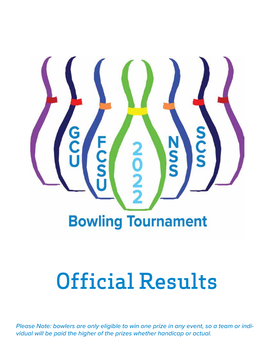

# Official Results

*Please Note: bowlers are only eligible to win one prize in any event, so a team or individual will be paid the higher of the prizes whether handicap or actual.*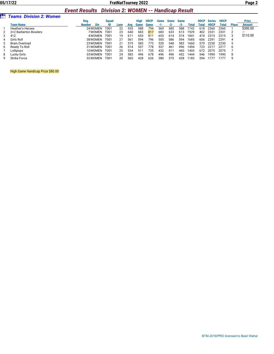#### *Event Results Division 2: WOMEN -- Handicap Result*

|   |                                | ___________          | ____________________ |      |     |      |                 |      |       |      |       |             |             |             |              |               |
|---|--------------------------------|----------------------|----------------------|------|-----|------|-----------------|------|-------|------|-------|-------------|-------------|-------------|--------------|---------------|
|   | <b>Teams Division 2: Women</b> |                      |                      |      |     |      |                 |      |       |      |       |             |             |             |              |               |
|   |                                | Reg.                 | <b>Sauad</b>         |      |     | Hiah | <b>HDCP</b>     | Game | Game  | Game |       | <b>HDCP</b> | Series      | <b>HDCP</b> |              | <b>Prize</b>  |
|   | <b>Team Name</b>               | Div<br><b>Number</b> |                      | Lane | Ava | Game | Game            | -1-  | $-2-$ | -3-  | Total | Total       | <b>HDCP</b> | Total       | <b>Place</b> | <b>Amount</b> |
|   | <b>Heather's Heroes</b>        | 24 WOMEN             | T001                 | 22   | 555 | 588  | 794             | 569  | 585   | 588  | 1742  | 618         | 2360        | 2360        |              | \$300.00      |
|   | 2+2 Barberton Bowlers          | 7 WOMEN              | T001                 | 23   | 640 | 683  | 817             | 683  | 633   | 613  | 1929  | 402         | 2331        | 2331        |              | ---           |
|   | 412                            | 4 WOMEN              | T001                 | 19   | 611 | 653  | 81 <sup>°</sup> | 653  | 614   | 574  | 1841  | 474         | 2315        | 2315        |              | \$110.00      |
|   | Girls Roll                     | 38 WOMEN             | T001                 | 27   | 561 | 594  | 796             | 505  | 586   | 594  | 1685  | 606         | 2291        | 2291        | 4            |               |
|   | <b>Brain Overload</b>          | 23 WOMEN             | T001                 | 21   | 575 | 583  | 773             | 529  | 548   | 583  | 1660  | 570         | 2230        | 2230        |              |               |
| b | Ready To Roll                  | 31 WOMEN             | T001                 | 26   | 514 | 537  | 778             | 537  | 461   | 496  | 1494  | 723         | 2217        | 2217        | h            |               |
|   | Lollipops                      | 10WOMEN              | T001                 | 25   | 534 | 511  | 735             | 432  | 51'   | 460  | 1403  | 672         | 2075        | 2075        |              |               |
| 8 | Lucky Girls                    | 33 WOMEN             | T001                 | 24   | 583 | 496  | 678             | 496  | 496   | 452  | 1444  | 546         | 1990        | 1990        | 8            |               |
|   | <b>Strike Force</b>            | 32 WOMEN             | T001                 | 20   | 565 | 428  | 626             | 380  | 375   | 428  | 1183  | 594         | .777        | 777         | q            |               |

High Game Handicap Prize \$80.00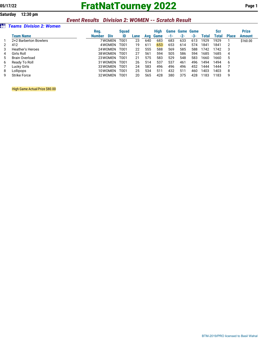# **05/17/22 FratNatTourney 2022 Page 1**

### *Event Results Division 2: WOMEN -- Scratch Result*

#### z *Teams Division 2: Women*

|    |                       | Reg.   |            | <b>Sauad</b> |      |     | High        |     | <b>Game Game Game</b> |       |       | <b>Scr</b> |              | <b>Prize</b> |
|----|-----------------------|--------|------------|--------------|------|-----|-------------|-----|-----------------------|-------|-------|------------|--------------|--------------|
|    | <b>Team Name</b>      | Number | <b>Div</b> | ID           | Lane | Avg | <b>Game</b> | -1- | $-2-$                 | $-3-$ | Total | Total      | <b>Place</b> | Amount       |
|    | 2+2 Barberton Bowlers |        | 7 WOMEN    | T001         | 23   | 640 | 683         | 683 | 633                   | 613   | 1929  | 1929       |              | \$160.00     |
| 2  | 412                   |        | 4 WOMEN    | T001         | 19   | 611 | 653         | 653 | 614                   | 574   | 1841  | 1841       | 2            |              |
|    | Heather's Heroes      |        | 24 WOMEN   | T001         | 22   | 555 | 588         | 569 | 585                   | 588   | 1742  | 1742       |              |              |
| 4  | Girls Roll            |        | 38 WOMEN   | T001         | 27   | 561 | 594         | 505 | 586                   | 594   | 1685  | 1685       | 4            |              |
| 5. | <b>Brain Overload</b> |        | 23 WOMEN   | T001         | 21   | 575 | 583         | 529 | 548                   | 583   | 1660  | 1660       | 5            |              |
| 6  | Ready To Roll         |        | 31 WOMEN   | T001         | 26   | 514 | 537         | 537 | 461                   | 496   | 1494  | 1494       | -6           |              |
|    | Lucky Girls           |        | 33 WOMEN   | T001         | 24   | 583 | 496         | 496 | 496                   | 452   | 444   | 1444       |              |              |
| 8  | Lollipops             |        | 10WOMEN    | T001         | 25   | 534 | 511         | 432 | 511                   | 460   | 1403  | 1403       | -8           |              |
| 9  | <b>Strike Force</b>   |        | 32 WOMEN   | T001         | 20   | 565 | 428         | 380 | 375                   | 428   | 183   | 1183       | 9            |              |

High Game Actual Prize \$80.00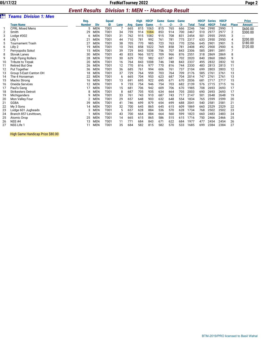#### *Event Results Division 1: MEN -- Handicap Result*

|    |                              |               |            | _            |      |     |             |             | --------- |       | ------- |              |              |               |              |                |               |
|----|------------------------------|---------------|------------|--------------|------|-----|-------------|-------------|-----------|-------|---------|--------------|--------------|---------------|--------------|----------------|---------------|
|    | <b>Teams Division 1: Men</b> |               |            |              |      |     |             |             |           |       |         |              |              |               |              |                |               |
|    |                              | Reg.          |            | <b>Squad</b> |      |     | <b>High</b> | <b>HDCP</b> | Game      | Game  | Game    |              | <b>HDCP</b>  | <b>Series</b> | <b>HDCP</b>  |                | <b>Prize</b>  |
|    | <b>Team Name</b>             | <b>Number</b> | Div        | ID           | Lane | Avg | Game        | Game        | -1-       | $-2-$ | $-3-$   | <b>Total</b> | <b>Total</b> | <b>HDCP</b>   | <b>Total</b> | <b>Place</b>   | <b>Amount</b> |
|    | <b>CPRL Mixed Mens</b>       | 5             | <b>MEN</b> | T001         |      | 665 | 815         | 1063        | 815       | 765   | 666     | 2246         | 744          | 2990          | 2990         |                | \$600.00      |
| 2  | Smith                        | 29            | <b>MEN</b> | T001         | 34   | 759 | 914         | 1084        | 853       | 914   | 700     | 2467         | 510          | 2977          | 2977         | $\overline{2}$ | \$300.00      |
| 3  | Lodge $#302$                 | 6             | <b>MEN</b> | T001         | 31   | 762 | 915         | 1082        | 915       | 708   | 831     | 2454         | 501          | 2955          | 2955         | 3              | ---           |
| 4  | Lilly 1                      | 21            | <b>MEN</b> | T001         | 44   | 710 | 781         | 992         | 761       | 781   | 775     | 2317         | 633          | 2950          | 2950         | 4              | \$200.00      |
| 5  | <b>Tournament Trash</b>      | 27            | <b>MEN</b> | T001         | 38   | 705 | 770         | 985         | 723       | 763   | 770     | 2256         | 645          | 2901          | 2901         | 5              | \$180.00      |
| 6  | Lilly 2                      | 19            | <b>MEN</b> | T001         | 10   | 765 | 858         | 1022        | 769       | 858   | 781     | 2408         | 492          | 2900          | 2900         | 6              | \$120.00      |
|    | Perryopolis Sokol            | 15            | <b>MEN</b> | T001         | 39   | 729 | 843         | 1038        | 756       | 707   | 843     | 2306         | 585          | 2891          | 2891         | 7              |               |
| 8  | <b>Slovak Lanes</b>          | 30            | <b>MEN</b> | T001         | 40   | 833 | 966         | 1072        | 709       | 966   | 876     | 2551         | 318          | 2869          | 2869         | 8              |               |
| 9  | <b>High Flying Rollers</b>   | 28            | <b>MEN</b> | T001         | 30   | 629 | 702         | 982         | 637       | 681   | 702     | 2020         | 840          | 2860          | 2860         | 9              |               |
| 10 | <b>Tribute to Tirpak</b>     | 20            | <b>MEN</b> | T001         | 16   | 764 | 843         | 1008        | 746       | 748   | 843     | 2337         | 495          | 2832          | 2832         | 10             |               |
| 11 | <b>Retired But One</b>       | 26            | <b>MEN</b> | T001         | 12   | 770 | 816         | 977         | 770       | 816   | 744     | 2330         | 483          | 2813          | 2813         | 11             |               |
| 12 | Put Together                 | 36            | <b>MEN</b> | T001         | 36   | 685 | 761         | 994         | 606       | 761   | 737     | 2104         | 699          | 2803          | 2803         | 12             |               |
| 13 | Group 5-East Canton OH       | 18            | <b>MEN</b> | T001         | 37   | 729 | 764         | 959         | 703       | 764   | 709     | 2176         | 585          | 2761          | 2761         | 13             |               |
| 14 | The 4 Horseman               | 22            | <b>MEN</b> | T001         | 6    | 665 | 704         | 953         | 623       | 687   | 704     | 2014         | 747          | 2761          | 2761         | 13             |               |
| 15 | Macko Strong                 | 16            | <b>MEN</b> | T001         | 13   | 691 | 695         | 922         | 695       | 671   | 670     | 2036         | 681          | 2717          | 2717         | 15             |               |
| 16 | Oneida Services              | 12            | <b>MEN</b> | T001         | 9    | 733 | 754         | 946         | 754       | 703   | 682     | 2139         | 576          | 2715          | 2715         | 16             |               |
| 17 | Paul's Gang                  | 17            | <b>MEN</b> | T001         | 15   | 681 | 706         | 942         | 609       | 706   | 670     | 1985         | 708          | 2693          | 2693         | 17             |               |
| 18 | <b>Strikesters Detroit</b>   | 8             | <b>MEN</b> | T001         | 8    | 687 | 705         | 935         | 634       | 664   | 705     | 2003         | 690          | 2693          | 2693         | 17             |               |
| 19 | Michiganders                 | q             | <b>MEN</b> | T001         | 33   | 761 | 743         | 910         | 687       | 743   | 717     | 2147         | 501          | 2648          | 2648         | 19             |               |
| 20 | Mon Valley Four              |               | <b>MEN</b> | T001         | 29   | 657 | 648         | 903         | 632       | 648   | 554     | 1834         | 765          | 2599          | 2599         | 20             |               |
| 21 | <b>GGBA</b>                  | 39            | <b>MEN</b> | T001         | 41   | 746 | 699         | 879         | 654       | 699   | 688     | 2041         | 540          | 2581          | 2581         | 21             |               |
| 22 | My 3 Sons                    | 14            | <b>MEN</b> | T001         | 32   | 700 | 645         | 865         | 645       | 615   | 609     | 1869         | 660          | 2529          | 2529         | 22             |               |
| 23 | Lodge 601 Jugheads           | 3             | <b>MEN</b> | T001         | 5    | 657 | 628         | 884         | 536       | 570   | 628     | 1734         | 768          | 2502          | 2502         | 23             |               |
| 24 | Branch 857-Levittown.        |               | <b>MEN</b> | T001         | 43   | 700 | 664         | 884         | 664       | 560   | 599     | 1823         | 660          | 2483          | 2483         | 24             |               |
| 25 | <b>Atomic Drop</b>           | 25            | <b>MEN</b> | T001         | 14   | 665 | 615         | 865         | 586       | 515   | 615     | 1716         | 750          | 2466          | 2466         | 25             |               |
| 26 | $NSS$ #4                     | 13            | <b>MEN</b> | T001         | 11   | 771 | 684         | 843         | 671       | 622   | 684     | 1977         | 477          | 2454          | 2454         | 26             |               |
| 27 | NSS Life 1                   | 11            | <b>MEN</b> | T001         | 35   | 684 | 582         | 815         | 582       | 570   | 533     | 1685         | 699          | 2384          | 2384         | 27             |               |

High Game Handicap Prize \$80.00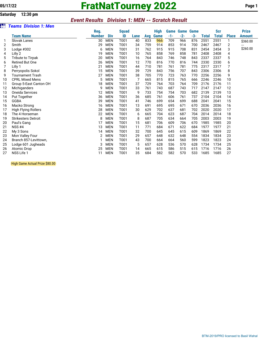#### **Saturday 12:30 pm**

#### *Event Results Division 1: MEN -- Scratch Result*

| àii | <b>Teams Division 1: Men</b> |               |            |              |      |     |             |       |                       |       |              |            |              |              |
|-----|------------------------------|---------------|------------|--------------|------|-----|-------------|-------|-----------------------|-------|--------------|------------|--------------|--------------|
|     |                              | Reg.          |            | <b>Squad</b> |      |     | <b>High</b> |       | <b>Game Game Game</b> |       |              | <b>Scr</b> |              | <b>Prize</b> |
|     | Team Name                    | <b>Number</b> | <b>Div</b> | ID           | Lane | Avg | Game        | $-1-$ | $-2-$                 | $-3-$ | <b>Total</b> | Total      | <b>Place</b> | Amount       |
|     | <b>Slovak Lanes</b>          | 30            | <b>MEN</b> | T001         | 40   | 833 | 966         | 709   | 966                   | 876   | 2551         | 2551       | 1            | \$360.00     |
| 2   | Smith                        | 29            | <b>MEN</b> | T001         | 34   | 759 | 914         | 853   | 914                   | 700   | 2467         | 2467       | 2            | ---          |
| 3   | Lodge #302                   | 6             | <b>MEN</b> | T001         | 31   | 762 | 915         | 915   | 708                   | 831   | 2454         | 2454       | 3            | \$260.00     |
| 4   | Lilly 2                      | 19            | <b>MEN</b> | T001         | 10   | 765 | 858         | 769   | 858                   | 781   | 2408         | 2408       | 4            |              |
| 5   | <b>Tribute to Tirpak</b>     | 20            | <b>MEN</b> | T001         | 16   | 764 | 843         | 746   | 748                   | 843   | 2337         | 2337       | 5            |              |
| 6   | <b>Retired But One</b>       | 26            | <b>MEN</b> | T001         | 12   | 770 | 816         | 770   | 816                   | 744   | 2330         | 2330       | 6            |              |
| 7   | Lilly 1                      | 21            | <b>MEN</b> | T001         | 44   | 710 | 781         | 761   | 781                   | 775   | 2317         | 2317       | 7            |              |
| 8   | Perryopolis Sokol            | 15            | <b>MEN</b> | T001         | 39   | 729 | 843         | 756   | 707                   | 843   | 2306         | 2306       | 8            |              |
| 9   | <b>Tournament Trash</b>      | 27            | <b>MEN</b> | T001         | 38   | 705 | 770         | 723   | 763                   | 770   | 2256         | 2256       | 9            |              |
| 10  | <b>CPRL Mixed Mens</b>       | 5             | <b>MEN</b> | T001         | 7    | 665 | 815         | 815   | 765                   | 666   | 2246         | 2246       | 10           |              |
| 11  | Group 5-East Canton OH       | 18            | <b>MEN</b> | T001         | 37   | 729 | 764         | 703   | 764                   | 709   | 2176         | 2176       | 11           |              |
| 12  | Michiganders                 | q             | <b>MEN</b> | T001         | 33   | 761 | 743         | 687   | 743                   | 717   | 2147         | 2147       | 12           |              |
| 13  | Oneida Services              | 12            | <b>MEN</b> | T001         | 9    | 733 | 754         | 754   | 703                   | 682   | 2139         | 2139       | 13           |              |
| 14  | Put Together                 | 36            | <b>MEN</b> | T001         | 36   | 685 | 761         | 606   | 761                   | 737   | 2104         | 2104       | 14           |              |
| 15  | <b>GGBA</b>                  | 39            | <b>MEN</b> | T001         | 41   | 746 | 699         | 654   | 699                   | 688   | 2041         | 2041       | 15           |              |
| 16  | Macko Strong                 | 16            | <b>MEN</b> | T001         | 13   | 691 | 695         | 695   | 671                   | 670   | 2036         | 2036       | 16           |              |
| 17  | High Flying Rollers          | 28            | <b>MEN</b> | T001         | 30   | 629 | 702         | 637   | 681                   | 702   | 2020         | 2020       | 17           |              |
| 18  | The 4 Horseman               | 22            | <b>MEN</b> | T001         | 6    | 665 | 704         | 623   | 687                   | 704   | 2014         | 2014       | 18           |              |
| 19  | <b>Strikesters Detroit</b>   | 8             | <b>MEN</b> | T001         | 8    | 687 | 705         | 634   | 664                   | 705   | 2003         | 2003       | 19           |              |
| 20  | Paul's Gang                  | 17            | <b>MEN</b> | T001         | 15   | 681 | 706         | 609   | 706                   | 670   | 1985         | 1985       | 20           |              |
| 21  | <b>NSS #4</b>                | 13            | <b>MEN</b> | T001         | 11   | 771 | 684         | 671   | 622                   | 684   | 1977         | 1977       | 21           |              |
| 22  | My 3 Sons                    | 14            | <b>MEN</b> | T001         | 32   | 700 | 645         | 645   | 615                   | 609   | 1869         | 1869       | 22           |              |
| 23  | Mon Valley Four              |               | <b>MEN</b> | T001         | 29   | 657 | 648         | 632   | 648                   | 554   | 1834         | 1834       | 23           |              |
| 24  | Branch 857-Levittown,        |               | <b>MEN</b> | T001         | 43   | 700 | 664         | 664   | 560                   | 599   | 1823         | 1823       | 24           |              |
| 25  | Lodge 601 Jugheads           | 3             | <b>MEN</b> | T001         | 5    | 657 | 628         | 536   | 570                   | 628   | 1734         | 1734       | 25           |              |
| 26  | Atomic Drop                  | 25            | <b>MEN</b> | T001         | 14   | 665 | 615         | 586   | 515                   | 615   | 1716         | 1716       | 26           |              |
| 27  | NSS Life 1                   | 11            | <b>MEN</b> | T001         | 35   | 684 | 582         | 582   | 570                   | 533   | 1685         | 1685       | 27           |              |

High Game Actual Prize \$80.00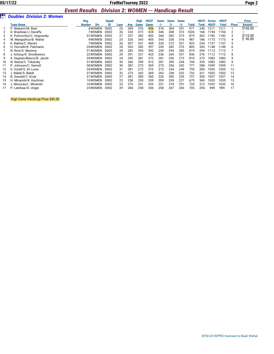#### *Event Results Division 2: WOMEN -- Handicap Result*

|    |                                  | ___________   | -------------------- |      |     |             |             |       |       |       |       |             |               |             |              |               |
|----|----------------------------------|---------------|----------------------|------|-----|-------------|-------------|-------|-------|-------|-------|-------------|---------------|-------------|--------------|---------------|
|    | <b>Doubles Division 2: Women</b> |               |                      |      |     |             |             |       |       |       |       |             |               |             |              |               |
|    |                                  | Req.          | <b>Squad</b>         |      |     | <b>High</b> | <b>HDCP</b> | Game  | Game  | Game  |       | <b>HDCP</b> | <b>Series</b> | <b>HDCP</b> |              | <b>Prize</b>  |
|    | <b>Team Name</b>                 | Div<br>Number | ID                   | Lane | Avg | Game        | Game        | $-1-$ | $-2-$ | $-3-$ | Total | Total       | <b>HDCP</b>   | Total       | <b>Place</b> | <b>Amount</b> |
|    | P. Niskach/M. Basl               | 4 WOMEN       | D002                 | 25   | 304 | 376         | 456         | 376   | 304   | 291   | 971   | 240         | 1211          | 1211        |              | \$150.00      |
|    | D. Brashear/J. Karaffa           | 7 WOMEN       | D002                 | 26   | 333 | 372         | 428         | 346   | 308   | 372   | 1026  | 168         | 1194          | 1194        |              |               |
| 3  | K. Policicchio/C. Ungvarsky      | 31 WOMEN      | D <sub>002</sub>     | 27   | 257 | 282         | 403         | 264   | 282   | 273   | 819   | 363         | 1182          | 1182        | 3            | \$110.00      |
|    | M. Mangiafico/B. Wahal           | 4 WOMEN       | D002                 | 25   | 326 | 343         | 405         | 343   | 328   | 316   | 987   | 186         | 1173          | 1173        | 4            | \$90.00       |
| 5  | K. Bakita/C. Macko               | 7 WOMEN       | D002                 | 26   | 307 | 331         | 409         | 320   | 272   | 331   | 923   | 234         | 1157          | 1157        | 5            |               |
| 6  | H. Horvath/K. Palchanis          | 24 WOMEN      | D <sub>002</sub>     | 24   | 263 | 282         | 397         | 245   | 282   | 276   | 803   | 345         | 1148          | 1148        | h            |               |
|    | N. Rice/G. Maxima                | 31 WOMEN      | D <sub>002</sub>     | 28   | 283 | 294         | 392         | 243   | 294   | 282   | 819   | 294         | 1113          | 1113        |              |               |
| 8  | J. Antosy/K. Smolkowicz          | 23 WOMEN      | D <sub>002</sub>     | 29   | 291 | 331         | 423         | 236   | 269   | 331   | 836   | 276         | 1112          | 1112        | 8            |               |
|    | A. Degnan-Blasco/B. Jacob        | 24 WOMEN      | D <sub>002</sub>     | 24   | 292 | 281         | 372         | 281   | 256   | 273   | 810   | 273         | 1083          | 1083        | 9            |               |
| 10 | N. Nasta/C. Tokarsky             | 31 WOMEN      | D002                 | 30   | 266 | 299         | 412         | 201   | 299   | 244   | 744   | 339         | 1083          | 1083        | 9            |               |
| 11 | P. Johnson/C. Gemoll             | 38 WOMEN      | D002                 | 30   | 287 | 273         | 369         | 273   | 256   | 242   | 771   | 288         | 1059          | 1059        | 11           |               |
| 12 | S. Vorell/S. Sir Louis           | 34 WOMEN      | D002                 | 31   | 281 | 272         | 372         | 272   | 234   | 249   | 755   | 300         | 1055          | 1055        | 12           |               |
| 13 | J. Babik/S. Babik                | 37 WOMEN      | D <sub>002</sub>     | 32   | 273 | 262         | 369         | 262   | 238   | 232   | 732   | 321         | 1053          | 1053        | 13           |               |
| 14 | B. Oswald/C. Kruly               | 31 WOMEN      | D <sub>002</sub>     | 27   | 281 | 285         | 385         | 226   | 285   | 226   | 737   | 300         | 1037          | 1037        | 14           |               |
| 15 | H. Minarish/K. Kaufman           | 10WOMEN       | D <sub>002</sub>     | 23   | 258 | 239         | 359         | 209   | 239   | 227   | 675   | 360         | 1035          | 1035        | 15           |               |
| 16 | J. Mozuras/L. Minarish           | 10WOMEN       | D <sub>0</sub> 02    | 23   | 276 | 251         | 355         | 251   | 218   | 251   | 720   | 312         | 1032          | 1032        | 16           |               |
| 17 | P. Latshaw/D. Unger              | 23 WOMEN      | D002                 | 29   | 284 | 258         | 356         | 258   | 207   | 240   | 705   | 294         | 999           | 999         | 17           |               |
|    |                                  |               |                      |      |     |             |             |       |       |       |       |             |               |             |              |               |

High Game Handicap Prize \$40.00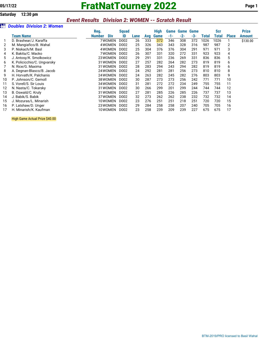# **05/17/22 FratNatTourney 2022 Page 1**

### *Event Results Division 2: WOMEN -- Scratch Result*

#### *Doubles Division 2: Women*

|    |                             | Reg.                        | <b>Squad</b>      |      |     | <b>High</b> | Game | <b>Game Game</b> |     |       | Scr   |              | <b>Prize</b> |
|----|-----------------------------|-----------------------------|-------------------|------|-----|-------------|------|------------------|-----|-------|-------|--------------|--------------|
|    | Team Name                   | <b>Div</b><br><b>Number</b> | ID                | Lane | Avg | Game        | -1-  | $-2-$            | -3- | Total | Total | <b>Place</b> | Amount       |
|    | D. Brashear/J. Karaffa      | 7WOMEN                      | D002              | 26   | 333 | 372         | 346  | 308              | 372 | 1026  | 1026  |              | \$130.00     |
| 2  | M. Mangiafico/B. Wahal      | 4 WOMEN                     | D002              | 25   | 326 | 343         | 343  | 328              | 316 | 987   | 987   | 2            |              |
| 3  | P. Niskach/M. Basl          | 4 WOMEN                     | D002              | 25   | 304 | 376         | 376  | 304              | 291 | 971   | 971   | 3            |              |
| 4  | K. Bakita/C. Macko          | 7 WOMEN                     | D <sub>0</sub> 02 | 26   | 307 | 331         | 320  | 272              | 331 | 923   | 923   | 4            |              |
| 5  | J. Antosy/K. Smolkowicz     | 23 WOMEN                    | D002              | 29   | 291 | 331         | 236  | 269              | 331 | 836   | 836   | 5            |              |
| 6  | K. Policicchio/C. Ungvarsky | 31 WOMEN                    | D002              | 27   | 257 | 282         | 264  | 282              | 273 | 819   | 819   | 6            |              |
|    | N. Rice/G. Maxima           | 31 WOMEN                    | D002              | 28   | 283 | 294         | 243  | 294              | 282 | 819   | 819   | 6            |              |
| 8  | A. Degnan-Blasco/B. Jacob   | 24 WOMEN                    | D002              | 24   | 292 | 281         | 281  | 256              | 273 | 810   | 810   | 8            |              |
| 9  | H. Horvath/K. Palchanis     | 24 WOMEN                    | D002              | 24   | 263 | 282         | 245  | 282              | 276 | 803   | 803   | 9            |              |
| 10 | P. Johnson/C. Gemoll        | 38 WOMEN                    | D002              | 30   | 287 | 273         | 273  | 256              | 242 | 771   | 771   | 10           |              |
| 11 | S. Vorell/S. Sir Louis      | 34 WOMEN                    | D <sub>0</sub> 02 | 31   | 281 | 272         | 272  | 234              | 249 | 755   | 755   | 11           |              |
| 12 | N. Nasta/C. Tokarsky        | 31 WOMEN                    | D <sub>0</sub> 02 | 30   | 266 | 299         | 201  | 299              | 244 | 744   | 744   | 12           |              |
| 13 | B. Oswald/C. Kruly          | 31 WOMEN                    | D <sub>0</sub> 02 | 27   | 281 | 285         | 226  | 285              | 226 | 737   | 737   | 13           |              |
| 14 | J. Babik/S. Babik           | 37 WOMEN                    | D002              | 32   | 273 | 262         | 262  | 238              | 232 | 732   | 732   | 14           |              |
| 15 | J. Mozuras/L. Minarish      | 10WOMEN                     | D002              | 23   | 276 | 251         | 251  | 218              | 251 | 720   | 720   | 15           |              |
| 16 | P. Latshaw/D. Unger         | 23 WOMEN                    | D <sub>0</sub> 02 | 29   | 284 | 258         | 258  | 207              | 240 | 705   | 705   | 16           |              |
|    | H. Minarish/K. Kaufman      | 10WOMEN                     | D002              | 23   | 258 | 239         | 209  | 239              | 227 | 675   | 675   | 17           |              |

High Game Actual Prize \$40.00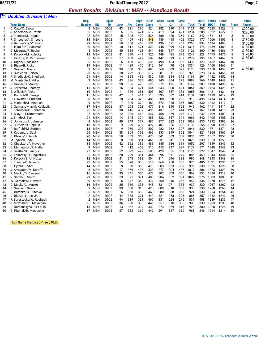#### *Event Results Division 1: MEN -- Handicap Result*

|                |                                               | --------------                |              |                |            |             |             | 1.41191797777879777 |            |            |              |              |               |              |                |               |
|----------------|-----------------------------------------------|-------------------------------|--------------|----------------|------------|-------------|-------------|---------------------|------------|------------|--------------|--------------|---------------|--------------|----------------|---------------|
|                | <b>Doubles Division 1: Men</b>                |                               |              |                |            |             |             |                     |            |            |              |              |               |              |                |               |
|                |                                               | Req.                          | <b>Squad</b> |                |            | <b>High</b> | <b>HDCP</b> | <b>Game</b>         | Game       | Game       |              | <b>HDCP</b>  | <b>Series</b> | <b>HDCP</b>  |                | <b>Prize</b>  |
|                | <b>Team Name</b>                              | <b>Number</b><br><b>Div</b>   | ID           | Lane           | Avg        | Game        | Game        | -1-                 | $-2-$      | $-3-$      | <b>Total</b> | <b>Total</b> | <b>HDCP</b>   | <b>Total</b> | <b>Place</b>   | <b>Amount</b> |
| 1              | C. Cato/C. Barca                              | 3<br><b>MEN</b>               | D002         | 43             | 321        | 390         | 524         | 382                 | 390        | 349        | 1121         | 402          | 1523          | 1523         | $\mathbf{1}$   | \$300.00      |
| $\overline{2}$ | J. Anderson/M. Patak                          | 5<br><b>MEN</b>               | D002         | 5              | 365        | 421         | 517         | 419                 | 394        | 421        | 1234         | 288          | 1522          | 1522         | $\mathbf{2}$   | \$220.00      |
| 3              | J. Francis/M. Degnan                          | 22<br><b>MEN</b>              | D002         | 15             | 345        | 420         | 534         | 380                 | 420        | 369        | 1169         | 342          | 1511          | 1511         | 3              | \$150.00      |
| 4              | R. Sir Louis/A. Sir Louis                     | 13<br><b>MEN</b>              | D002         | 13             | 409        | 489         | 548         | 489                 | 418        | 422        | 1329         | 177          | 1506          | 1506         | $\overline{4}$ | \$130.00      |
| 5              | N. Richnafsky/V. Smith                        | 29<br>MEN                     | D002         | 19             | 388        | 453         | 531         | 436                 | 371        | 453        | 1260         | 234          | 1494          | 1494         | 5              | \$100.00      |
| 6              | D. Iskra Sr/T. Rasimas                        | <b>MEN</b><br>20              | D002         | 10             | 411        | 471         | 529         | 445                 | 399        | 471        | 1315         | 174          | 1489          | 1489         | 6              | 90.00         |
| 7              | G. Mozuras/F. Repko                           | 8<br><b>MEN</b>               | D002         | 40             | 338        | 421         | 541         | 358                 | 347        | 421        | 1126         | 360          | 1486          | 1486         | $\overline{7}$ | 80.00         |
| 8              | P. Kolecky/M. Kolecky                         | <b>MEN</b><br>12              | D002         | 41             | 390        | 449         | 525         | 449                 | 425        | 373        | 1247         | 228          | 1475          | 1475         | 8              | 70.00         |
| 9              | B. Karaffa/M. Cimperman                       | <b>MEN</b><br>6               | D002         | 17             | 403        | 442         | 507         | 442                 | 393        | 437        | 1272         | 195          | 1467          | 1467         | 9              | 60.00         |
| 10             | A. Digon/J. Niskach                           | 5<br>MEN                      | D002         | 5              | 430        | 498         | 539         | 498                 | 454        | 387        | 1339         | 123          | 1462          | 1462         | 10             | ---           |
| 11             | G. Risko/B. Risko                             | 19<br>MEN                     | D002         | 11             | 429        | 470         | 512         | 461                 | 470        | 403        | 1334         | 126          | 1460          | 1460         | 11             |               |
| 12             | F. Nasta/D. Nasta                             | <b>MEN</b><br>1               | D002         | 39             | 350        | 383         | 493         | 368                 | 383        | 377        | 1128         | 330          | 1458          | 1458         | 12             | \$60.00       |
| 13             | T. Skrtich/D. Barton                          | <b>MEN</b><br>28              | D002         | 18             | 272        | 336         | 512         | 281                 | 311        | 336        | 928          | 528          | 1456          | 1456         | 13             |               |
| 14             | R. Shedlock/C. Shedlock                       | MEN<br>21                     | D002         | 14             | 365        | 435         | 532         | 435                 | 354        | 372        | 1161         | 291          | 1452          | 1452         | 14             |               |
| 15             | M. Mantsch/J. Miller                          | 3<br><b>MEN</b>               | D002         | 43             | 336        | 373         | 495         | 345                 | 364        | 373        | 1082         | 366          | 1448          | 1448         | 15             |               |
| 16             | R. Groner/G. Maurer                           | 35<br>MEN                     | D002         | 20             | 366        | 425         | 521         | 372                 | 425        | 345        | 1142         | 288          | 1430          | 1430         | 16             |               |
| 17             | J. Berner/M. Czarney                          | <b>MEN</b><br>11              | D002         | 16             | 334        | 421         | 544         | 333                 | 300        | 421        | 1054         | 369          | 1423          | 1423         | 17             |               |
| 18             | E. Wilk III/F. Risko                          | 19<br><b>MEN</b>              | D002         | 11             | 336        | 381         | 503         | 307                 | 367        | 381        | 1055         | 366          | 1421          | 1421         | 18             |               |
| 19             | C. Kordich/B. Seruga                          | 15<br>MEN                     | D002         | 42             | 367        | 414         | 510         | 335                 | 382        | 414        | 1131         | 288          | 1419          | 1419         | 19             |               |
| 20             | H. Oswald/J. Burkhart                         | 28<br>MEN                     | D002         | 18             | 284        | 320         | 486         | 300                 | 320        | 296        | 916          | 498          | 1414          | 1414         | 20             |               |
| 21             | J. Minarish/J. Minarish                       | 9<br><b>MEN</b>               | D002         | 7              | 349        | 372         | 482         | 372                 | 345        | 365        | 1082         | 330          | 1412          | 1412         | 21             |               |
| 22             | D. Salmanowitz/M. Kudlacik                    | 17<br>MEN                     | D002         | 37             | 298        | 323         | 477         | 316                 | 310        | 323        | 949          | 462          | 1411          | 1411         | 22             |               |
| 23<br>24       | L. Johnston/D. Johnston                       | 26<br>MEN<br>27<br><b>MEN</b> | D002<br>D002 | 38<br>12       | 416<br>386 | 437<br>468  | 491<br>547  | 437<br>468          | 397<br>359 | 414<br>345 | 1248<br>1172 | 162<br>237   | 1410<br>1409  | 1410<br>1409 | 23<br>24       |               |
| 25             | T. Silay/J. Grottenthaler<br>J. Smith/J. Bart | <b>MEN</b><br>21              | D002         | 14             | 345        | 374         | 488         | 322                 | 367        | 374        | 1063         | 342          | 1405          | 1405         | 25             |               |
| 26             | C. Johnson/F. Johnson                         | 8<br><b>MEN</b>               | D002         | 40             | 349        | 377         | 487         | 377                 | 322        | 363        | 1062         | 330          | 1392          | 1392         | 26             |               |
| 27             | J. Burfield/D. Papcun                         | <b>MEN</b><br>18              | D002         | 9              | 379        | 407         | 492         | 407                 | 336        | 392        | 1135         | 255          | 1390          | 1390         | 27             |               |
| 28             | R. Burfield/M. Burfield                       | 18<br><b>MEN</b>              | D002         | 9              | 350        | 397         | 507         | 282                 | 362        | 397        | 1041         | 330          | 1371          | 1371         | 28             |               |
| 29             | R. Kopanic/J. Saul                            | <b>MEN</b><br>26              | D002         | 38             | 354        | 362         | 469         | 333                 | 349        | 362        | 1044         | 321          | 1365          | 1365         | 29             |               |
| 30             | G. Blasco/J. Jacob                            | <b>MEN</b><br>20              | D002         | 10             | 353        | 363         | 470         | 341                 | 363        | 332        | 1036         | 321          | 1357          | 1357         | 30             |               |
| 31             | M. Pytel/D. Pytel                             | <b>MEN</b><br>14              | D002         | 8              | 350        | 351         | 461         | 331                 | 341        | 351        | 1023         | 330          | 1353          | 1353         | 31             |               |
| 32             | C. Checkton/A. Novotney                       | 15<br>MEN                     | D002         | 42             | 362        | 386         | 485         | 355                 | 386        | 311        | 1052         | 297          | 1349          | 1349         | 32             |               |
| 33             | C. Mathewson/R. Haller                        | 9<br><b>MEN</b>               | D002         | $\overline{7}$ | 412        | 453         | 510         | 453                 | 397        | 327        | 1177         | 171          | 1348          | 1348         | 33             |               |
| 34             | J. Beattie/D. Sinagra                         | <b>MEN</b><br>27              | D002         | 12             | 392        | 429         | 503         | 429                 | 335        | 361        | 1125         | 222          | 1347          | 1347         | 34             |               |
| 35             | J. Tokarsky/D. Ungvarsky                      | <b>MEN</b><br>35              | D002         | 20             | 299        | 311         | 464         | 295                 | 311        | 279        | 885          | 459          | 1344          | 1344         | 35             |               |
| 36             | D. Kolecky Sr/J. Hutzel                       | 12<br>MEN                     | D002         | 41             | 343        | 388         | 504         | 311                 | 296        | 388        | 995          | 348          | 1343          | 1343         | 36             |               |
| 37             | J. Francis/D. Iskra Jr                        | 22<br>MEN                     | D002         | 15             | 320        | 380         | 515         | 266                 | 280        | 380        | 926          | 405          | 1331          | 1331         | 37             |               |
| 38             | C. Pytel/S. Pytel                             | <b>MEN</b><br>14              | D002         | 8              | 350        | 369         | 479         | 303                 | 323        | 369        | 995          | 330          | 1325          | 1325         | 38             |               |
| 39             | J. Arrowood/M. Karaffa                        | 6<br><b>MEN</b>               | D002         | 17             | 359        | 436         | 538         | 277                 | 304        | 436        | 1017         | 306          | 1323          | 1323         | 39             |               |
| 40             | R. Macko/D. Dawson                            | <b>MEN</b><br>16              | D002         | 35             | 341        | 356         | 473         | 302                 | 309        | 356        | 967          | 351          | 1318          | 1318         | 40             |               |
| 41             | V. Smith/D. Smith                             | 29<br>MEN                     | D002         | 19             | 371        | 391         | 483         | 284                 | 352        | 391        | 1027         | 276          | 1303          | 1303         | 41             |               |
| 42             | W. Gemoll/M. Horvath                          | 39<br>MEN                     | D002         | 6              | 347        | 360         | 472         | 360                 | 316        | 266        | 942          | 336          | 1278          | 1278         | 42             |               |
| 43             | D. Macko/C. Macko                             | MEN<br>16                     | D002         | 35             | 350        | 335         | 445         | 331                 | 271        | 335        | 937          | 330          | 1267          | 1267         | 43             |               |
| 44             | J. Nasta/E. Nasta                             | <b>MEN</b><br>-1              | D002         | 39             | 350        | 318         | 428         | 309                 | 318        | 303        | 930          | 330          | 1260          | 1260         | 44             |               |
| 45             | D. Butchko/C. Butchko                         | MEN<br>36                     | D002         | 6              | 350        | 338         | 448         | 280                 | 338        | 306        | 924          | 330          | 1254          | 1254         | 45             |               |
| 46             | D. Rice/D. Lutes, Jr.                         | 2<br>MEN                      | D002         | 44             | 338        | 321         | 440         | 321                 | 258        | 306        | 885          | 357          | 1242          | 1242         | 46             |               |
| 47             | F. Berestecky/W. Roebuck                      | 2<br><b>MEN</b>               | D002         | 44             | 319        | 331         | 467         | 331                 | 224        | 276        | 831          | 408          | 1239          | 1239         | 47             |               |
| 48             | J. Moynihan/J. Moynihan                       | MEN<br>25                     | D002         | 36             | 350        | 336         | 446         | 257                 | 310        | 336        | 903          | 330          | 1233          | 1233         | 48             |               |
| 49             | R. Durcansky/O. Sir Louis                     | 13<br>MEN                     | D002         | 13             | 362        | 339         | 439         | 273                 | 339        | 316        | 928          | 300          | 1228          | 1228         | 49             |               |
| 50             | G. Pitonak/R. Mosloskie                       | 17<br>MEN                     | D002         | 37             | 383        | 360         | 442         | 291                 | 317        | 360        | 968          | 246          | 1214          | 1214         | 50             |               |

High Game Handicap Prize \$40.00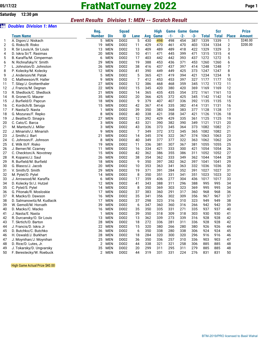**Saturday 12:30 pm**

### *Event Results Division 1: MEN -- Scratch Result*

|  | <b>BH</b> Doubles Division 1: Men |  |  |
|--|-----------------------------------|--|--|
|--|-----------------------------------|--|--|

|    |                            | Reg.           |            | <b>Squad</b> |      |     | <b>High</b> | Game | Game  | <b>Game</b> |              | Scr          |              | <b>Prize</b> |
|----|----------------------------|----------------|------------|--------------|------|-----|-------------|------|-------|-------------|--------------|--------------|--------------|--------------|
|    | <b>Team Name</b>           | Number         | <b>Div</b> | ID           | Lane | Avg | Game        | -1-  | $-2-$ | -3-         | <b>Total</b> | <b>Total</b> | <b>Place</b> | Amount       |
| 1  | A. Digon/J. Niskach        | 5              | <b>MEN</b> | D002         | 5    | 430 | 498         | 498  | 454   | 387         | 1339         | 1339         | $\mathbf{1}$ | \$240.00     |
| 2  | G. Risko/B. Risko          | 19             | <b>MEN</b> | D002         | 11   | 429 | 470         | 461  | 470   | 403         | 1334         | 1334         | 2            | \$200.00     |
| 3  | R. Sir Louis/A. Sir Louis  | 13             | <b>MEN</b> | D002         | 13   | 409 | 489         | 489  | 418   | 422         | 1329         | 1329         | 3            |              |
| 4  | D. Iskra Sr/T. Rasimas     | 20             | <b>MEN</b> | D002         | 10   | 411 | 471         | 445  | 399   | 471         | 1315         | 1315         | 4            |              |
| 5  | B. Karaffa/M. Cimperman    | 6              | MEN        | D002         | 17   | 403 | 442         | 442  | 393   | 437         | 1272         | 1272         | 5            |              |
| 6  | N. Richnafsky/V. Smith     | 29             | <b>MEN</b> | D002         | 19   | 388 | 453         | 436  | 371   | 453         | 1260         | 1260         | 6            |              |
| 7  | L. Johnston/D. Johnston    | 26             | <b>MEN</b> | D002         | 38   | 416 | 437         | 437  | 397   | 414         | 1248         | 1248         | 7            |              |
| 8  | P. Kolecky/M. Kolecky      | 12             | <b>MEN</b> | D002         | 41   | 390 | 449         | 449  | 425   | 373         | 1247         | 1247         | 8            |              |
| 9  | J. Anderson/M. Patak       | 5              | <b>MEN</b> | D002         | 5    | 365 | 421         | 419  | 394   | 421         | 1234         | 1234         | 9            |              |
| 10 | C. Mathewson/R. Haller     | 9              | <b>MEN</b> | D002         | 7    | 412 | 453         | 453  | 397   | 327         | 1177         | 1177         | 10           |              |
| 11 | T. Silay/J. Grottenthaler  | 27             | <b>MEN</b> | D002         | 12   | 386 | 468         | 468  | 359   | 345         | 1172         | 1172         | 11           |              |
| 12 | J. Francis/M. Degnan       | 22             | <b>MEN</b> | D002         | 15   | 345 | 420         | 380  | 420   | 369         | 1169         | 1169         | 12           |              |
| 13 | R. Shedlock/C. Shedlock    | 21             | <b>MEN</b> | D002         | 14   | 365 | 435         | 435  | 354   | 372         | 1161         | 1161         | 13           |              |
| 14 | R. Groner/G. Maurer        | 35             | <b>MEN</b> | D002         | 20   | 366 | 425         | 372  | 425   | 345         | 1142         | 1142         | 14           |              |
| 15 | J. Burfield/D. Papcun      | 18             | <b>MEN</b> | D002         | 9    | 379 | 407         | 407  | 336   | 392         | 1135         | 1135         | 15           |              |
| 16 | C. Kordich/B. Seruga       | 15             | <b>MEN</b> | D002         | 42   | 367 | 414         | 335  | 382   | 414         | 1131         | 1131         | 16           |              |
| 17 | F. Nasta/D. Nasta          | 1              | <b>MEN</b> | D002         | 39   | 350 | 383         | 368  | 383   | 377         | 1128         | 1128         | 17           |              |
| 18 | G. Mozuras/F. Repko        | 8              | MEN        | D002         | 40   | 338 | 421         | 358  | 347   | 421         | 1126         | 1126         | 18           |              |
| 19 | J. Beattie/D. Sinagra      | 27             | <b>MEN</b> | D002         | 12   | 392 | 429         | 429  | 335   | 361         | 1125         | 1125         | 19           |              |
| 20 | C. Cato/C. Barca           | 3              | <b>MEN</b> | D002         | 43   | 321 | 390         | 382  | 390   | 349         | 1121         | 1121         | 20           |              |
| 21 | M. Mantsch/J. Miller       | 3              | <b>MEN</b> | D002         | 43   | 336 | 373         | 345  | 364   | 373         | 1082         | 1082         | 21           |              |
| 22 | J. Minarish/J. Minarish    | 9              | <b>MEN</b> | D002         | 7    | 349 | 372         | 372  | 345   | 365         | 1082         | 1082         | 21           |              |
| 23 | J. Smith/J. Bart           | 21             | <b>MEN</b> | D002         | 14   | 345 | 374         | 322  | 367   | 374         | 1063         | 1063         | 23           |              |
| 24 | C. Johnson/F. Johnson      | 8              | <b>MEN</b> | D002         | 40   | 349 | 377         | 377  | 322   | 363         | 1062         | 1062         | 24           |              |
| 25 | E. Wilk III/F. Risko       | 19             | <b>MEN</b> | D002         | 11   | 336 | 381         | 307  | 367   | 381         | 1055         | 1055         | 25           |              |
| 26 | J. Berner/M. Czarney       | 11             | <b>MEN</b> | D002         | 16   | 334 | 421         | 333  | 300   | 421         | 1054         | 1054         | 26           |              |
| 27 | C. Checkton/A. Novotney    | 15             | <b>MEN</b> | D002         | 42   | 362 | 386         | 355  | 386   | 311         | 1052         | 1052         | 27           |              |
| 28 | R. Kopanic/J. Saul         | 26             | <b>MEN</b> | D002         | 38   | 354 | 362         | 333  | 349   | 362         | 1044         | 1044         | 28           |              |
| 29 | R. Burfield/M. Burfield    | 18             | <b>MEN</b> | D002         | 9    | 350 | 397         | 282  | 362   | 397         | 1041         | 1041         | 29           |              |
| 30 | G. Blasco/J. Jacob         | 20             | <b>MEN</b> | D002         | 10   | 353 | 363         | 341  | 363   | 332         | 1036         | 1036         | 30           |              |
| 31 | V. Smith/D. Smith          | 29             | <b>MEN</b> | D002         | 19   | 371 | 391         | 284  | 352   | 391         | 1027         | 1027         | 31           |              |
| 32 | M. Pytel/D. Pytel          | 14             | <b>MEN</b> | D002         | 8    | 350 | 351         | 331  | 341   | 351         | 1023         | 1023         | 32           |              |
| 33 | J. Arrowood/M. Karaffa     | 6              | <b>MEN</b> | D002         | 17   | 359 | 436         | 277  | 304   | 436         | 1017         | 1017         | 33           |              |
| 34 | D. Kolecky Sr/J. Hutzel    | 12             | <b>MEN</b> | D002         | 41   | 343 | 388         | 311  | 296   | 388         | 995          | 995          | 34           |              |
| 35 | C. Pytel/S. Pytel          | 14             | <b>MEN</b> | D002         | 8    | 350 | 369         | 303  | 323   | 369         | 995          | 995          | 34           |              |
| 36 | G. Pitonak/R. Mosloskie    | 17             | <b>MEN</b> | D002         | 37   | 383 | 360         | 291  | 317   | 360         | 968          | 968          | 36           |              |
| 37 | R. Macko/D. Dawson         | 16             | <b>MEN</b> | D002         | 35   | 341 | 356         | 302  | 309   | 356         | 967          | 967          | 37           |              |
| 38 | D. Salmanowitz/M. Kudlacik | 17             | <b>MEN</b> | D002         | 37   | 298 | 323         | 316  | 310   | 323         | 949          | 949          | 38           |              |
| 39 | W. Gemoll/M. Horvath       | 39             | <b>MEN</b> | D002         | 6    | 347 | 360         | 360  | 316   | 266         | 942          | 942          | 39           |              |
| 40 | D. Macko/C. Macko          | 16             | MEN        | D002         | 35   | 350 | 335         | 331  | 271   | 335         | 937          | 937          | 40           |              |
| 41 | J. Nasta/E. Nasta          | 1              | <b>MEN</b> | D002         | 39   | 350 | 318         | 309  | 318   | 303         | 930          | 930          | 41           |              |
| 42 | R. Durcansky/O. Sir Louis  | 13             | MEN        | D002         | 13   | 362 | 339         | 273  | 339   | 316         | 928          | 928          | 42           |              |
| 43 | T. Skrtich/D. Barton       | 28             | <b>MEN</b> | D002         | 18   | 272 | 336         | 281  | 311   | 336         | 928          | 928          | 42           |              |
| 44 | J. Francis/D. Iskra Jr     | 22             | <b>MEN</b> | D002         | 15   | 320 | 380         | 266  | 280   | 380         | 926          | 926          | 44           |              |
| 45 | D. Butchko/C. Butchko      | 36             | <b>MEN</b> | D002         | 6    | 350 | 338         | 280  | 338   | 306         | 924          | 924          | 45           |              |
| 46 | H. Oswald/J. Burkhart      | 28             | <b>MEN</b> | D002         | 18   | 284 | 320         | 300  | 320   | 296         | 916          | 916          | 46           |              |
| 47 | J. Moynihan/J. Moynihan    | 25             | <b>MEN</b> | D002         | 36   | 350 | 336         | 257  | 310   | 336         | 903          | 903          | 47           |              |
| 48 | D. Rice/D. Lutes, Jr.      | 2              | <b>MEN</b> | D002         | 44   | 338 | 321         | 321  | 258   | 306         | 885          | 885          | 48           |              |
| 49 | J. Tokarsky/D. Ungvarsky   | 35             | <b>MEN</b> | D002         | 20   | 299 | 311         | 295  | 311   | 279         | 885          | 885          | 48           |              |
| 50 | F. Berestecky/W. Roebuck   | $\overline{2}$ | MEN        | D002         | 44   | 319 | 331         | 331  | 224   | 276         | 831          | 831          | 50           |              |

High Game Actual Prize \$40.00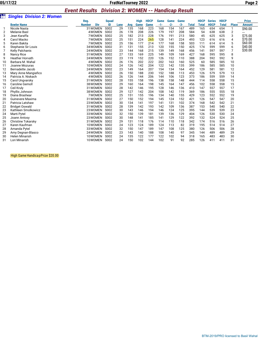#### *Event Results Division 2: WOMEN -- Handicap Result*

|    |                                  |                      |              |      |     |             |             | $1.411$ and $4.54$ $1.33$ and $1.5$ |       |       |              |              |               |              |                |               |
|----|----------------------------------|----------------------|--------------|------|-----|-------------|-------------|-------------------------------------|-------|-------|--------------|--------------|---------------|--------------|----------------|---------------|
|    | <b>Singles Division 2: Women</b> |                      |              |      |     |             |             |                                     |       |       |              |              |               |              |                |               |
|    |                                  | Reg.                 | <b>Squad</b> |      |     | <b>High</b> | <b>HDCP</b> | Game                                | Game  | Game  |              | <b>HDCP</b>  | <b>Series</b> | <b>HDCP</b>  |                | <b>Prize</b>  |
|    | <b>Bowler Name</b>               | <b>Number</b><br>Div | ID           | Lane | Avg | Game        | Game        | $-1-$                               | $-2-$ | $-3-$ | <b>Total</b> | <b>Total</b> | <b>HDCP</b>   | <b>Total</b> | <b>Place</b>   | <b>Amount</b> |
|    | Nicole Nasta                     | 31 WOMEN             | S002         | 29   | 135 | 168         | 223         | 168                                 | 154   | 167   | 489          | 165          | 654           | 654          | $\mathbf{1}$   | \$90.00       |
|    | <b>Melanie Basl</b>              | 4 WOMEN              | S002         | 26   | 178 | 208         | 226         | 179                                 | 197   | 208   | 584          | 54           | 638           | 638          | $\overline{2}$ |               |
| 3  | Jean Karaffa                     | 7 WOMEN              | S002         | 25   | 182 | 213         | 228         | 176                                 | 191   | 213   | 580          | 45           | 625           | 625          | 3              | \$75.00       |
| 4  | Carol Macko                      | 7 WOMEN              | S002         | 25   | 151 | 224         | 265         | 128                                 | 141   | 224   | 493          | 123          | 616           | 616          | $\overline{4}$ | \$70.00       |
| 5  | Karen Bakita                     | 7 WOMEN              | S002         | 25   | 156 | 177         | 214         | 177                                 | 168   | 158   | 503          | 111          | 614           | 614          | 5              | \$60.00       |
| 6  | Stephanie Sir Louis              | 34 WOMEN             | S002         | 31   | 131 | 155         | 213         | 120                                 | 155   | 150   | 425          | 174          | 599           | 599          | 6              | \$40.00       |
|    | <b>Kelly Palchanis</b>           | 24 WOMEN             | S002         | 23   | 144 | 168         | 215         | 139                                 | 149   | 168   | 456          | 141          | 597           | 597          | $\overline{7}$ | \$30.00       |
| 8  | <b>Nancy Rice</b>                | 31 WOMEN             | S002         | 27   | 133 | 169         | 225         | 149                                 | 109   | 169   | 427          | 168          | 595           | 595          | 8              |               |
| 9  | <b>Heather Horvath</b>           | 24 WOMEN             | S002         | 23   | 119 | 152         | 220         | 126                                 | 152   | 110   | 388          | 204          | 592           | 592          | 9              |               |
| 10 | Barbara M. Wahal                 | 4 WOMEN              | S002         | 26   | 176 | 202         | 222         | 202                                 | 163   | 160   | 525          | 60           | 585           | 585          | 10             |               |
| 11 | Joanne Mozuras                   | 10WOMEN              | S002         | 24   | 126 | 142         | 204         | 122                                 | 142   | 135   | 399          | 186          | 585           | 585          | 10             |               |
| 12 | <b>Bernadette Jacob</b>          | 24 WOMEN             | S002         | 23   | 149 | 164         | 207         | 154                                 | 134   | 164   | 452          | 129          | 581           | 581          | 12             |               |
| 13 | Mary Anne Mangiafico             | 4 WOMEN              | S002         | 26   | 150 | 188         | 230         | 152                                 | 188   | 113   | 453          | 126          | 579           | 579          | 13             |               |
| 14 | Patricia A. Niskach              | 4 WOMEN              | S002         | 26   | 126 | 144         | 206         | 144                                 | 106   | 123   | 373          | 186          | 559           | 559          | 14             |               |
| 15 | Carol Ungvarsky                  | 31 WOMEN             | S002         | 28   | 155 | 158         | 196         | 138                                 | 158   | 148   | 444          | 114          | 558           | 558          | 15             |               |
| 16 | <b>Caroline Gemoll</b>           | 38 WOMEN             | S002         | 29   | 160 | 164         | 198         | 145                                 | 164   | 147   | 456          | 102          | 558           | 558          | 15             |               |
| 17 | Ceil Kruly                       | 31 WOMEN             | S002         | 28   | 142 | 146         | 195         | 128                                 | 146   | 136   | 410          | 147          | 557           | 557          | 17             |               |
| 18 | Phyllis Johnson                  | 38 WOMEN             | S002         | 29   | 127 | 142         | 204         | 108                                 | 142   | 119   | 369          | 186          | 555           | 555          | 18             |               |
| 19 | Diana Brashear                   | 7 WOMEN              | S002         | 25   | 151 | 155         | 196         | 134                                 | 140   | 155   | 429          | 123          | 552           | 552          | 19             |               |
| 20 | <b>Guinevere Maxima</b>          | 31 WOMEN             | S002         | 27   | 150 | 152         | 194         | 145                                 | 124   | 152   | 421          | 126          | 547           | 547          | 20             |               |
| 21 | Patricia Latshaw                 | 23 WOMEN             | S002         | 30   | 134 | 141         | 197         | 141                                 | 131   | 102   | 374          | 168          | 542           | 542          | 21             |               |
| 22 | <b>Bridget Oswald</b>            | 31 WOMEN             | S002         | 28   | 139 | 142         | 193         | 142                                 | 109   | 136   | 387          | 153          | 540           | 540          | 22             |               |
| 23 | Kathleen Smolkowicz              | 23 WOMEN             | S002         | 30   | 143 | 146         | 194         | 146                                 | 124   | 125   | 395          | 144          | 539           | 539          | 23             |               |
| 24 | Marti Pytel                      | 33 WOMEN             | S002         | 32   | 150 | 139         | 181         | 139                                 | 136   | 129   | 404          | 126          | 530           | 530          | 24             |               |
| 25 | Joann Antosy                     | 23 WOMEN             | S002         | 30   | 148 | 141         | 185         | 141                                 | 129   | 122   | 392          | 132          | 524           | 524          | 25             |               |
| 26 | <b>Christine Tokarsky</b>        | 31 WOMEN             | S002         | 29   | 131 | 118         | 176         | 114                                 | 110   | 118   | 342          | 174          | 516           | 516          | 26             |               |
| 27 | Karen Kaufman                    | 10WOMEN              | S002         | 24   | 123 | 124         | 189         | 124                                 | 113   | 82    | 319          | 195          | 514           | 514          | 27             |               |
| 28 | Amanda Pytel                     | 33 WOMEN             | S002         | 32   | 150 | 147         | 189         | 147                                 | 108   | 125   | 380          | 126          | 506           | 506          | 28             |               |
| 29 | Amy Degnan-Blasco                | 24 WOMEN             | S002         | 23   | 143 | 140         | 188         | 108                                 | 140   | 97    | 345          | 144          | 489           | 489          | 29             |               |
| 30 | <b>Helen Minarish</b>            | 10WOMEN              | S002         | 24   | 135 | 122         | 177         | 122                                 | 102   | 94    | 318          | 165          | 483           | 483          | 30             |               |
| 31 | Lori Minarish                    | 10WOMEN              | S002         | 24   | 150 | 102         | 144         | 102                                 | 91    | 92    | 285          | 126          | 411           | 411          | 31             |               |

#### High Game Handica p Prize \$20.00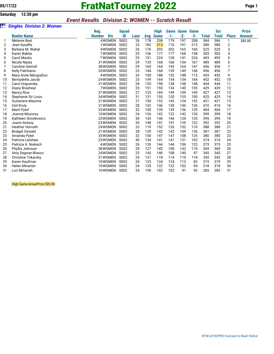# **05/17/22 FratNatTourney 2022 Page 1**

### *Event Results Division 2: WOMEN -- Scratch Result*

#### *<u><i>Singles Division 2: Women</u>*</u>

|    |                           | Reg.                        | <b>Squad</b>     |      |     | <b>High</b> |       | <b>Game Game</b> | <b>Game</b> |              | <b>Scr</b>   |              | <b>Prize</b> |
|----|---------------------------|-----------------------------|------------------|------|-----|-------------|-------|------------------|-------------|--------------|--------------|--------------|--------------|
|    | <b>Bowler Name</b>        | <b>Number</b><br><b>Div</b> | ID               | Lane | Avg | <b>Game</b> | $-1-$ | $-2-$            | $-3-$       | <b>Total</b> | <b>Total</b> | <b>Place</b> | Amount       |
|    | Melanie Basl              | 4WOMEN                      | S002             | 26   | 178 | 208         | 179   | 197              | 208         | 584          | 584          | 1            | \$85.00      |
| 2  | Jean Karaffa              | 7 WOMEN                     | S002             | 25   | 182 | 213         | 176   | 191              | 213         | 580          | 580          | 2            |              |
| 3  | Barbara M. Wahal          | 4 WOMEN                     | S <sub>002</sub> | 26   | 176 | 202         | 202   | 163              | 160         | 525          | 525          | 3            |              |
| 4  | Karen Bakita              | 7 WOMEN                     | S002             | 25   | 156 | 177         | 177   | 168              | 158         | 503          | 503          | 4            |              |
| 5  | Carol Macko               | 7 WOMEN                     | S <sub>002</sub> | 25   | 151 | 224         | 128   | 141              | 224         | 493          | 493          | 5            |              |
| 6  | Nicole Nasta              | 31 WOMEN                    | S002             | 29   | 135 | 168         | 168   | 154              | 167         | 489          | 489          | 6            |              |
|    | Caroline Gemoll           | 38 WOMEN                    | S <sub>002</sub> | 29   | 160 | 164         | 145   | 164              | 147         | 456          | 456          | 7            |              |
| 8  | <b>Kelly Palchanis</b>    | 24 WOMEN                    | S <sub>002</sub> | 23   | 144 | 168         | 139   | 149              | 168         | 456          | 456          | 7            |              |
| 9  | Mary Anne Mangiafico      | 4 WOMEN                     | S002             | 26   | 150 | 188         | 152   | 188              | 113         | 453          | 453          | 9            |              |
| 10 | <b>Bernadette Jacob</b>   | 24 WOMEN                    | S002             | 23   | 149 | 164         | 154   | 134              | 164         | 452          | 452          | 10           |              |
| 11 | Carol Ungvarsky           | 31 WOMEN                    | S002             | 28   | 155 | 158         | 138   | 158              | 148         | 444          | 444          | 11           |              |
| 12 | Diana Brashear            | 7 WOMEN                     | S002             | 25   | 151 | 155         | 134   | 140              | 155         | 429          | 429          | 12           |              |
| 13 | <b>Nancy Rice</b>         | 31 WOMEN                    | S002             | 27   | 133 | 169         | 149   | 109              | 169         | 427          | 427          | 13           |              |
| 14 | Stephanie Sir Louis       | 34 WOMEN                    | S002             | 31   | 131 | 155         | 120   | 155              | 150         | 425          | 425          | 14           |              |
| 15 | Guinevere Maxima          | 31 WOMEN                    | S002             | 27   | 150 | 152         | 145   | 124              | 152         | 421          | 421          | 15           |              |
| 16 | Ceil Kruly                | 31 WOMEN                    | S002             | 28   | 142 | 146         | 128   | 146              | 136         | 410          | 410          | 16           |              |
| 17 | Marti Pytel               | 33 WOMEN                    | S002             | 32   | 150 | 139         | 139   | 136              | 129         | 404          | 404          | 17           |              |
| 18 | Joanne Mozuras            | 10WOMEN                     | S002             | 24   | 126 | 142         | 122   | 142              | 135         | 399          | 399          | 18           |              |
| 19 | Kathleen Smolkowicz       | 23 WOMEN                    | S002             | 30   | 143 | 146         | 146   | 124              | 125         | 395          | 395          | 19           |              |
| 20 | Joann Antosy              | 23 WOMEN                    | S002             | 30   | 148 | 141         | 141   | 129              | 122         | 392          | 392          | 20           |              |
| 21 | <b>Heather Horvath</b>    | 24 WOMEN                    | S002             | 23   | 119 | 152         | 126   | 152              | 110         | 388          | 388          | 21           |              |
| 22 | <b>Bridget Oswald</b>     | 31 WOMEN                    | S002             | 28   | 139 | 142         | 142   | 109              | 136         | 387          | 387          | 22           |              |
| 23 | Amanda Pytel              | 33 WOMEN                    | S002             | 32   | 150 | 147         | 147   | 108              | 125         | 380          | 380          | 23           |              |
| 24 | Patricia Latshaw          | 23 WOMEN                    | S002             | 30   | 134 | 141         | 141   | 131              | 102         | 374          | 374          | 24           |              |
| 25 | Patricia A. Niskach       | 4 WOMEN                     | S002             | 26   | 126 | 144         | 144   | 106              | 123         | 373          | 373          | 25           |              |
| 26 | Phyllis Johnson           | 38 WOMEN                    | S002             | 29   | 127 | 142         | 108   | 142              | 119         | 369          | 369          | 26           |              |
| 27 | Amy Degnan-Blasco         | 24 WOMEN                    | S002             | 23   | 143 | 140         | 108   | 140              | 97          | 345          | 345          | 27           |              |
| 28 | <b>Christine Tokarsky</b> | 31 WOMEN                    | S002             | 29   | 131 | 118         | 114   | 110              | 118         | 342          | 342          | 28           |              |
| 29 | Karen Kaufman             | 10WOMEN                     | S002             | 24   | 123 | 124         | 124   | 113              | 82          | 319          | 319          | 29           |              |
| 30 | <b>Helen Minarish</b>     | 10WOMEN                     | S002             | 24   | 135 | 122         | 122   | 102              | 94          | 318          | 318          | 30           |              |
| 31 | Lori Minarish             | 10WOMEN                     | S002             | 24   | 150 | 102         | 102   | 91               | 92          | 285          | 285          | 31           |              |

High Game Actual Prize \$20.00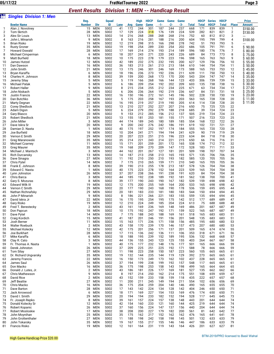#### *Event Results Division 1: MEN -- Handicap Result*

| òii            | <b>Singles Division 1: Men</b>       | ____________          |                   |                    |          |            |                     |                     | ---------     |               |             |            |                             |                              |                             |                |                               |
|----------------|--------------------------------------|-----------------------|-------------------|--------------------|----------|------------|---------------------|---------------------|---------------|---------------|-------------|------------|-----------------------------|------------------------------|-----------------------------|----------------|-------------------------------|
|                | <b>Bowler Name</b>                   | Reg.<br><b>Number</b> | Div               | <b>Squad</b><br>ID | Lane     | Avg        | <b>High</b><br>Game | <b>HDCP</b><br>Game | Game<br>$-1-$ | Game<br>$-2-$ | Game<br>-3- | Total      | <b>HDCP</b><br><b>Total</b> | <b>Series</b><br><b>HDCP</b> | <b>HDCP</b><br><b>Total</b> | <b>Place</b>   | <b>Prize</b><br><b>Amount</b> |
| 1              | Alan J. Novotney                     | 15                    | <b>MEN</b>        | S002               | 41       | 172        | 244                 | 301                 | 187           | 244           | 237         | 668        | 171                         | 839                          | 839                         | 1              | \$150.00                      |
| $\overline{2}$ | Tom Skrtich                          | 28                    | MEN               | S002               | 17       | 129        | 224                 | 318                 | 176           | 139           | 224         | 539        | 282                         | 821                          | 821                         | $\overline{2}$ | \$130.00                      |
| 3              | Alex Sir Louis                       | 13                    | MEN               | S002               | 14       | 216        | 268                 | 288                 | 268           | 268           | 216         | 752        | 60                          | 812                          | 812                         | 3              |                               |
| 4              | John L Minarish                      | 9                     | <b>MEN</b>        | S002               | 8        | 163        | 216                 | 281                 | 188           | 216           | 200         | 604        | 195                         | 799                          | 799                         | 4              | \$100.00                      |
| 5              | <b>Brian Risko</b>                   | 19                    | MEN               | S002               | 12       | 219        | 298                 | 315                 | 166           | 298           | 278         | 742        | 51                          | 793                          | 793                         | 5              |                               |
| 6              | <b>Rusty Groner</b>                  | 35                    | MEN               | S002               | 19       | 198        | 254                 | 289                 | 230           | 254           | 202         | 686        | 105                         | 791                          | 791                         | 6              | Ś.<br>90.00                   |
| 7              | <b>Howard Oswald</b>                 | 28                    | MEN               | S002               | 17       | 169        | 214                 | 274                 | 193           | 214           | 189         | 596        | 180                         | 776                          | 776                         | 7              | Ś<br>80.00                    |
| 8<br>9         | Michael Cimperman<br>Matt Burfield   | 6<br>18               | MEN<br>MEN        | S002<br>S002       | 18       | 207<br>175 | 243<br>223          | 271<br>278          | 220<br>179    | 243<br>223    | 226<br>196  | 689<br>598 | 84<br>165                   | 773<br>763                   | 773<br>763                  | 8<br>9         | 75.00                         |
| 10             | James Hutzel                         | 12                    | MEN               | S002               | 10<br>42 | 189        | 232                 | 275                 | 232           | 195           | 200         | 627        | 129                         | 756                          | 756                         | 10             | 60.00<br>55.00                |
| 11             | Dan Dawson                           | 16                    | <b>MEN</b>        | S002               | 36       | 183        | 213                 | 261                 | 213           | 213           | 184         | 610        | 144                         | 754                          | 754                         | 11             | 50.00                         |
| 12             | John Smith                           | 21                    | MEN               | S002               | 13       | 175        | 246                 | 301                 | 246           | 169           | 173         | 588        | 165                         | 753                          | 753                         | 12             | S<br>45.00                    |
| 13             | Bryan Karaffa                        | 6                     | MEN               | S002               | 18       | 196        | 236                 | 273                 | 192           | 236           | 211         | 639        | 111                         | 750                          | 750                         | 13             | S<br>40.00                    |
| 14             | Charles H. Johnson                   | 8                     | <b>MEN</b>        | S002               | 39       | 159        | 200                 | 268                 | 173           | 170           | 200         | 543        | 204                         | 747                          | 747                         | 14             | 35.00                         |
| 15             | Jeremy Silay                         | 5                     | MEN               | S002               | 5        | 119        | 166                 | 268                 | 166           | 144           | 123         | 433        | 306                         | 739                          | 739                         | 15             | S<br>33.00                    |
| 16             | <b>Michael Patak</b>                 | 5                     | <b>MEN</b>        | S002               | 6        | 186        | 209                 | 254                 | 192           | 202           | 209         | 603        | 135                         | 738                          | 738                         | 16             | 30.00                         |
| 17             | <b>Robert Haller</b>                 | 9                     | MEN               | S002               | 8        | 215        | 234                 | 255                 | 212           | 234           | 225         | 671        | 63                          | 734                          | 734                         | 17             | 27.00                         |
| 18             | John Niskach                         | 5                     | MEN               | S002               | 6        | 206        | 236                 | 264                 | 192           | 219           | 236         | 647        | 84                          | 731                          | 731                         | 18             | S<br>25.00<br>S               |
| 19<br>20       | <b>Justin Francis</b><br>Dan Butchko | 22<br>36              | MEN<br><b>MEN</b> | S002<br>S002       | 16<br>5  | 150<br>175 | 196<br>203          | 272<br>258          | 161<br>167    | 145<br>193    | 196<br>203  | 502<br>563 | 228<br>165                  | 730<br>728                   | 730<br>728                  | 19<br>20       | 23.00<br>S<br>11.00           |
| 21             | Marty Degnan                         | 22                    | MEN               | S002               | 16       | 195        | 219                 | 257                 | 219           | 190           | 205         | 614        | 114                         | 728                          | 728                         | 20             | \$11.00                       |
| 22             | <b>Corey Shedlock</b>                | 21                    | MEN               | S002               | 13       | 210        | 227                 | 252                 | 227           | 207           | 216         | 650        | 75                          | 725                          | 725                         | 22             |                               |
| 23             | Adam Digon                           | 5                     | MEN               | S002               | 6        | 224        | 279                 | 292                 | 279           | 188           | 218         | 685        | 39                          | 724                          | 724                         | 23             |                               |
| 24             | Gary Blasco                          | 20                    | <b>MEN</b>        | S002               | 9        | 153        | 212                 | 285                 | 156           | 212           | 137         | 505        | 219                         | 724                          | 724                         | 23             |                               |
| 25             | <b>Robert Shedlock</b>               | 21                    | MEN               | S002               | 13       | 155        | 181                 | 253                 | 181           | 155           | 171         | 507        | 216                         | 723                          | 723                         | 25             |                               |
| 26             | John Miller                          | 3                     | MEN               | S002               | 44       | 174        | 189                 | 245                 | 180           | 189           | 185         | 554        | 168                         | 722                          | 722                         | 26             |                               |
| 27             | Dave Iskra Sr                        | 20                    | MEN               | S002               | 9        | 200        | 242                 | 276                 | 242           | 186           | 191         | 619        | 102                         | 721                          | 721                         | 27             |                               |
| 28             | Damian D. Nasta                      | -1                    | MEN               | S002               | 40       | 175        | 197                 | 252                 | 197           | 174           | 184         | 555        | 165                         | 720                          | 720                         | 28             |                               |
| 29             | Joe Burfield                         | 18                    | <b>MEN</b>        | S002               | 10       | 204        | 241                 | 271                 | 194           | 194           | 241         | 629        | 90                          | 719                          | 719                         | 29             |                               |
| 30<br>31       | Vernon E Smith<br>Greg Maranowski    | 29<br>35              | <b>MEN</b><br>MEN | S002<br>S002       | 20<br>35 | 207<br>214 | 223<br>221          | 251<br>243          | 215<br>214    | 196<br>221    | 223<br>215  | 634<br>650 | 84<br>66                    | 718<br>716                   | 718<br>716                  | 30<br>31       |                               |
| 32             | <b>Michael Czarney</b>               | 11                    | <b>MEN</b>        | S002               | 15       | 171        | 201                 | 259                 | 201           | 172           | 165         | 538        | 174                         | 712                          | 712                         | 32             |                               |
| 33             | <b>Greg Maurer</b>                   | 35                    | MEN               | S002               | 19       | 168        | 209                 | 270                 | 209           | 147           | 172         | 528        | 183                         | 711                          | 711                         | 33             |                               |
| 34             | Michael J. Mantsch                   | 3                     | <b>MEN</b>        | S002               | 44       | 162        | 201                 | 267                 | 127           | 181           | 201         | 509        | 198                         | 707                          | 707                         | 34             |                               |
| 35             | <b>Rich Durcansky</b>                | 13                    | <b>MEN</b>        | S002               | 14       | 187        | 213                 | 258                 | 213           | 165           | 193         | 571        | 135                         | 706                          | 706                         | 35             |                               |
| 36             | Dave Sinagra                         | 27                    | MEN               | S002               | 11       | 192        | 210                 | 250                 | 210           | 193           | 182         | 585        | 120                         | 705                          | 705                         | 36             |                               |
| 37             | Chris Pytel                          | 14                    | MEN               | S002               | 7        | 175        | 210                 | 265                 | 159           | 171           | 210         | 540        | 165                         | 705                          | 705                         | 36             |                               |
| 38             | Frank E. Johnson                     | 8                     | MEN               | S002               | 39       | 190        | 213                 | 255                 | 178           | 213           | 187         | 578        | 126                         | 704                          | 704                         | 38             |                               |
| 39             | Edward C. Nasta                      | -1                    | MEN               | S002               | 40       | 175        | 223                 | 278                 | 152           | 164           | 223         | 539        | 165                         | 704                          | 704                         | 38             |                               |
| 40             | Lynn Johnston                        | 26<br>3               | MEN               | S002               | 37       | 207        | 238                 | 266                 | 191           | 238           | 191         | 620<br>562 | 84                          | 704                          | 704                         | 38             |                               |
| 41<br>42       | Chris Barca<br>Gary S. Mozuras       | 8                     | MEN<br><b>MEN</b> | S002<br>S002       | 44<br>39 | 185<br>177 | 192<br>190          | 238<br>243          | 189<br>190    | 192<br>167    | 181<br>182  | 539        | 138<br>159                  | 700<br>698                   | 700<br>698                  | 41<br>42       |                               |
| 43             | Edward Wilk III                      | 19                    | <b>MEN</b>        | S002               | 12       | 175        | 200                 | 255                 | 169           | 164           | 200         | 533        | 165                         | 698                          | 698                         | 42             |                               |
| 44             | Vernon C Smith                       | 29                    | MEN               | S002               | 20       | 177        | 190                 | 243                 | 168           | 190           | 178         | 536        | 159                         | 695                          | 695                         | 44             |                               |
| 45             | Nathan Richnafsky                    | 29                    | <b>MEN</b>        | S002               | 20       | 181        | 183                 | 233                 | 181           | 180           | 183         | 544        | 150                         | 694                          | 694                         | 45             |                               |
| 46             | John P Minarish                      | 9                     | <b>MEN</b>        | S002               | 8        | 186        | 221                 | 266                 | 221           | 183           | 155         | 559        | 135                         | 694                          | 694                         | 45             |                               |
| 47             | David Iskra Jr                       | 22                    | MEN               | S002               | 16       | 170        | 195                 | 254                 | 195           | 175           | 142         | 512        | 177                         | 689                          | 689                         | 47             |                               |
| 48             | Gary Risko                           | 19                    | MEN               | S002               | 12       | 210        | 224                 | 249                 | 185           | 204           | 224         | 613        | 75                          | 688                          | 688                         | 48             |                               |
| 49             | Fred T. Berestecky                   | 2                     | MEN               | S002               | 43       | 161        | 169                 | 236                 | 169           | 148           | 169         | 486        | 201                         | 687                          | 687                         | 49             |                               |
| 50<br>51       | Don Papcun                           | 18                    | MEN               | S002               | 10<br>7  | 175        | 192                 | 247                 | 192           | 171           | 159         | 522        | 165                         | 687                          | 687                         | 49             |                               |
| 52             | Dave Pytel<br>Craig Kordich          | 14<br>15              | <b>MEN</b><br>MEN | S002<br>S002       | 41       | 175<br>187 | 188<br>201          | 243<br>246          | 188<br>191    | 169<br>156    | 161<br>201  | 518<br>548 | 165<br>135                  | 683<br>683                   | 683<br>683                  | 51<br>51       |                               |
| 53             | Josh Berner                          | 11                    | MEN               | S002               | 15       | 163        | 171                 | 236                 | 171           | 158           | 156         | 485        | 195                         | 680                          | 680                         | 53             |                               |
| 54             | <b>Walter Roebuck</b>                | 2                     | <b>MEN</b>        | S002               | 43       | 158        | 170                 | 239                 | 170           | 146           | 157         | 473        | 207                         | 680                          | 680                         | 53             |                               |
| 55             | Michael Kolecky                      | 12                    | MEN               | S002               | 42       | 175        | 201                 | 256                 | 171           | 137           | 201         | 509        | 165                         | 674                          | 674                         | 55             |                               |
| 56             | Joe Burkhart                         | 28                    | MEN               | S002               | 17       | 115        | 136                 | 242                 | 136           | 111           | 106         | 353        | 318                         | 671                          | 671                         | 56             |                               |
| 57             | Mike Karaffa                         | 6                     | MEN               | S002               | 18       | 188        | 195                 | 239                 | 152           | 189           | 195         | 536        | 132                         | 668                          | 668                         | 57             |                               |
| 58             | Clay R. Cato                         | 3                     | <b>MEN</b>        | S002               | 44       | 136        | 155                 | 243                 | 123           | 125           | 155         | 403        | 264                         | 667                          | 667                         | 58             |                               |
| 59             | Fr. Thomas A. Nasta                  | $\mathbf{1}$          | MEN               | S002               | 40       | 175        | 177                 | 232                 | 148           | 176           | 177         | 501        | 165                         | 666                          | 666                         | 59             |                               |
| 60<br>61       | Derek Johnston<br><b>Tom Silay</b>   | 26<br>27              | <b>MEN</b><br>MEN | S002<br>S002       | 37<br>11 | 209<br>198 | 225<br>223          | 251<br>258          | 225<br>150    | 192<br>187    | 171<br>223  | 588<br>560 | 78<br>105                   | 666<br>665                   | 666<br>665                  | 59<br>61       |                               |
| 62             | Dr. Richard Ungvarsky                | 35                    | <b>MEN</b>        | S002               | 19       | 132        | 144                 | 235                 | 144           | 119           | 129         | 392        | 273                         | 665                          | 665                         | 61             |                               |
| 63             | Jeremy Francis                       | 22                    | MEN               | S002               | 16       | 150        | 173                 | 249                 | 173           | 162           | 102         | 437        | 228                         | 665                          | 665                         | 61             |                               |
| 64             | James Saul                           | 26                    | <b>MEN</b>        | S002               | 37       | 194        | 199                 | 238                 | 199           | 192           | 157         | 548        | 117                         | 665                          | 665                         | 61             |                               |
| 65             | Don Macko                            | 16                    | MEN               | S002               | 36       | 175        | 198                 | 253                 | 158           | 143           | 198         | 499        | 165                         | 664                          | 664                         | 65             |                               |
| 66             | Donald J. Lutes, Jr.                 | $\overline{2}$        | MEN               | S002               | 43       | 186        | 181                 | 226                 | 177           | 169           | 181         | 527        | 135                         | 662                          | 662                         | 66             |                               |
| 67             | <b>Chris Mathewson</b>               | 9                     | MEN               | S002               | 8        | 197        | 214                 | 250                 | 162           | 214           | 175         | 551        | 108                         | 659                          | 659                         | 67             |                               |
| 68             | David Rice                           | $\overline{2}$        | MEN               | S002               | 43       | 152        | 159                 | 233                 | 158           | 159           | 118         | 435        | 222                         | 657                          | 657                         | 68             |                               |
| 69             | Jeff Beattie                         | 27                    | <b>MEN</b>        | S002               | 11       | 200        | 211                 | 245                 | 149           | 194           | 211         | 554        | 102                         | 656                          | 656                         | 69             |                               |
| 70             | Chris Macko                          | 16                    | MEN               | S002               | 36       | 175        | 204                 | 259                 | 204           | 140           | 146         | 490        | 165                         | 655                          | 655                         | 70             |                               |
| 71<br>72       | Dave Barton<br>Jack Arrowood         | 28<br>6               | MEN<br>MEN        | S002<br>S002       | 17<br>18 | 143<br>171 | 142<br>169          | 224<br>227          | 134<br>154    | 128<br>153    | 142<br>169  | 404<br>476 | 246<br>174                  | 650<br>650                   | 650<br>650                  | 71<br>71       |                               |
| 73             | David I. Smith                       | 29                    | <b>MEN</b>        | S002               | 20       | 194        | 194                 | 233                 | 182           | 152           | 194         | 528        | 117                         | 645                          | 645                         | 73             |                               |
| 74             | Fr. Joseph Repko                     | 8                     | MEN               | S002               | 39       | 161        | 157                 | 224                 | 157           | 138           | 148         | 443        | 201                         | 644                          | 644                         | 74             |                               |
| 75             | Donald Kolecky Sr                    | 12                    | MEN               | S002               | 42       | 154        | 160                 | 233                 | 121           | 160           | 144         | 425        | 219                         | 644                          | 644                         | 74             |                               |
| 76             | Robert Kopanic                       | 26                    | MEN               | S002               | 37       | 160        | 156                 | 224                 | 147           | 137           | 156         | 440        | 204                         | 644                          | 644                         | 74             |                               |
| 77             | Robert Mosloskie                     | 17                    | <b>MEN</b>        | S002               | 38       | 208        | 200                 | 227                 | 179           | 182           | 200         | 561        | 81                          | 642                          | 642                         | 77             |                               |
| 78             | John Moynihan                        | 25                    | MEN               | S002               | 35       | 175        | 162                 | 217                 | 152           | 162           | 162         | 476        | 165                         | 641                          | 641                         | 78             |                               |
| 79             | John Grottenthaler                   | 27                    | MEN               | S002               | 11       | 188        | 198                 | 242                 | 158           | 198           | 145         | 501        | 132                         | 633                          | 633                         | 79             |                               |
| 80             | John Tokarsky                        | 35                    | <b>MEN</b>        | S002               | 19       | 167        | 155                 | 217                 | 155           | 146           | 146         | 447        | 186                         | 633                          | 633                         | 79             |                               |
| 81             | Francis Risko                        | 19                    | MEN               | S002               | 12       | 161        | 164                 | 231                 | 119           | 143           | 164         | 426        | 201                         | 627                          | 627                         | 81             |                               |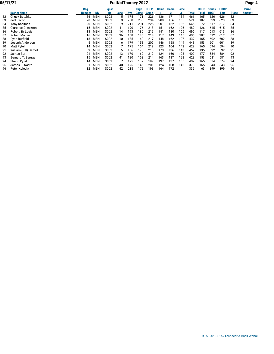|    | 05/17/22                 |        | <b>FratNatTourney 2022</b> |              |      |     |      |             |       |       |      |       |             |               |             |              | Page 4       |
|----|--------------------------|--------|----------------------------|--------------|------|-----|------|-------------|-------|-------|------|-------|-------------|---------------|-------------|--------------|--------------|
|    |                          | Reg.   |                            | <b>Squad</b> |      |     | High | <b>HDCP</b> | Game  | Game  | Game |       | <b>HDCP</b> | <b>Series</b> | <b>HDCP</b> |              | <b>Prize</b> |
|    | <b>Bowler Name</b>       | Number | Div                        | ID           | Lane | Avg | Game | Game        | $-1-$ | $-2-$ | -3-  | Total | Total       | <b>HDCP</b>   | Total       | <b>Place</b> | Amount       |
| 82 | <b>Chuck Butchko</b>     | 36     | <b>MEN</b>                 | S002         | 5    | 175 | 171  | 226         | 136   | 171   | 154  | 461   | 165         | 626           | 626         | 82           |              |
| 83 | Jeff Jacob               | 20     | MEN                        | S002         | 9    | 200 | 200  | 234         | 200   | 156   | 165  | 521   | 102         | 623           | 623         | 83           |              |
| 84 | Tony Rasimas             | 20     | MEN                        | S002         | 9    | 211 | 201  | 225         | 201   | 162   | 182  | 545   | 72          | 617           | 617         | 84           |              |
| 85 | <b>Clarence Checkton</b> | 15     | <b>MEN</b>                 | S002         | 41   | 190 | 176  | 218         | 151   | 162   | 176  | 489   | 126         | 615           | 615         | 85           |              |
| 86 | <b>Robert Sir Louis</b>  | 13     | <b>MEN</b>                 | S002         | 14   | 193 | 180  | 219         | 151   | 180   | 165  | 496   | 117         | 613           | 613         | 86           |              |
| 87 | Robert Macko             | 16     | MEN                        | S002         | 36   | 158 | 145  | 214         | 117   | 143   | 145  | 405   | 207         | 612           | 612         | 87           |              |
| 88 | Ryan Burfield            | 18     | <b>MEN</b>                 | S002         | 10   | 175 | 162  | 217         | 148   | 162   | 127  | 437   | 165         | 602           | 602         | 88           |              |
| 89 | Joseph Anderson          |        | MEN                        | S002         | 6    | 179 | 158  | 209         | 146   | 158   | 144  | 448   | 153         | 601           | 601         | 89           |              |
| 90 | <b>Matt Pytel</b>        | 14     | <b>MEN</b>                 | S002         |      | 175 | 164  | 219         | 123   | 164   | 142  | 429   | 165         | 594           | 594         | 90           |              |
| 91 | William (Bill) Gemoll    | 39     | <b>MEN</b>                 | S002         |      | 186 | 173  | 218         | 173   | 136   | 148  | 457   | 135         | 592           | 592         | 91           |              |
| 92 | James Bart               | 21     | <b>MEN</b>                 | S002         | 13   | 170 | 160  | 219         | 124   | 160   | 123  | 407   | 177         | 584           | 584         | 92           |              |
| 93 | Bernard T. Seruga        | 15     | <b>MEN</b>                 | S002         | 41   | 180 | 163  | 214         | 163   | 137   | 128  | 428   | 153         | 581           | 581         | 93           |              |
| 94 | Shaun Pytel              | 14     | <b>MEN</b>                 | S002         |      | 175 | 137  | 192         | 137   | 137   | 135  | 409   | 165         | 574           | 574         | 94           |              |
| 95 | James J. Nasta           |        | <b>MEN</b>                 | S002         | 40   | 175 | 146  | 201         | 124   | 108   | 146  | 378   | 165         | 543           | 543         | 95           |              |
| 96 | Peter Kolecky            |        | <b>MEN</b>                 | S002         | 42   | 215 | 172  | 193         | 164   | 172   |      | 336   | 63          | 399           | 399         | 96           |              |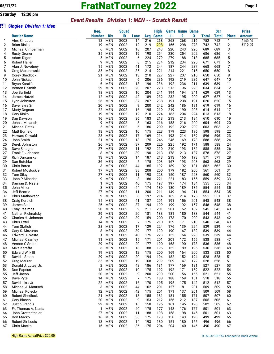**Saturday 12:30 pm**

### *Event Results Division 1: MEN -- Scratch Result*

| òii      | <b>Singles Division 1: Men</b>           |               |                          |              |          |            |             |            |                       |            |              |              |              |                      |
|----------|------------------------------------------|---------------|--------------------------|--------------|----------|------------|-------------|------------|-----------------------|------------|--------------|--------------|--------------|----------------------|
|          |                                          | Reg.          |                          | <b>Squad</b> |          |            | <b>High</b> |            | <b>Game Game Game</b> |            |              | <b>Scr</b>   |              | <b>Prize</b>         |
|          | <b>Bowler Name</b>                       | <b>Number</b> | <b>Div</b>               | ID           | Lane     | Avg        | Game        | $-1-$      | $-2-$                 | $-3-$      | <b>Total</b> | <b>Total</b> | <b>Place</b> | <b>Amount</b>        |
| 1        | Alex Sir Louis                           | 13            | <b>MEN</b>               | S002         | 14       | 216        | 268         | 268        | 268                   | 216        | 752          | 752          | 1            | \$140.00<br>\$110.00 |
| 2<br>3   | <b>Brian Risko</b><br>Michael Cimperman  | 19<br>6       | <b>MEN</b><br><b>MEN</b> | S002<br>S002 | 12<br>18 | 219<br>207 | 298<br>243  | 166<br>220 | 298<br>243            | 278<br>226 | 742<br>689   | 742<br>689   | 2<br>3       |                      |
| 4        | <b>Rusty Groner</b>                      | 35            | <b>MEN</b>               | S002         | 19       | 198        | 254         | 230        | 254                   | 202        | 686          | 686          | 4            |                      |
| 5        | Adam Digon                               | 5             | <b>MEN</b>               | S002         | 6        | 224        | 279         | 279        | 188                   | 218        | 685          | 685          | 5            |                      |
| 6        | <b>Robert Haller</b>                     | 9             | <b>MEN</b>               | S002         | 8        | 215        | 234         | 212        | 234                   | 225        | 671          | 671          | 6            |                      |
| 7        | Alan J. Novotney                         | 15            | <b>MEN</b>               | S002         | 41       | 172        | 244         | 187        | 244                   | 237        | 668          | 668          | 7            |                      |
| 8        | Greg Maranowski                          | 35            | <b>MEN</b>               | S002         | 35       | 214        | 221         | 214        | 221                   | 215        | 650          | 650          | 8            |                      |
| 9        | Corey Shedlock                           | 21            | <b>MEN</b>               | S002         | 13       | 210        | 227         | 227        | 207                   | 216        | 650          | 650          | 8            |                      |
| 10       | John Niskach                             | 5             | <b>MEN</b>               | S002         | 6        | 206        | 236         | 192        | 219                   | 236        | 647          | 647          | 10           |                      |
| 11       | Bryan Karaffa                            | 6             | <b>MEN</b>               | S002         | 18       | 196        | 236         | 192        | 236                   | 211        | 639          | 639          | 11           |                      |
| 12       | Vernon E Smith                           | 29            | <b>MEN</b>               | S002         | 20       | 207        | 223         | 215        | 196                   | 223        | 634          | 634          | 12           |                      |
| 13<br>14 | Joe Burfield<br>James Hutzel             | 18<br>12      | <b>MEN</b><br><b>MEN</b> | S002<br>S002 | 10<br>42 | 204<br>189 | 241<br>232  | 194<br>232 | 194<br>195            | 241<br>200 | 629<br>627   | 629<br>627   | 13<br>14     |                      |
| 15       | Lynn Johnston                            | 26            | MEN                      | S002         | 37       | 207        | 238         | 191        | 238                   | 191        | 620          | 620          | 15           |                      |
| 16       | Dave Iskra Sr                            | 20            | <b>MEN</b>               | S002         | 9        | 200        | 242         | 242        | 186                   | 191        | 619          | 619          | 16           |                      |
| 17       | Marty Degnan                             | 22            | <b>MEN</b>               | S002         | 16       | 195        | 219         | 219        | 190                   | 205        | 614          | 614          | 17           |                      |
| 18       | Gary Risko                               | 19            | <b>MEN</b>               | S002         | 12       | 210        | 224         | 185        | 204                   | 224        | 613          | 613          | 18           |                      |
| 19       | Dan Dawson                               | 16            | <b>MEN</b>               | S002         | 36       | 183        | 213         | 213        | 213                   | 184        | 610          | 610          | 19           |                      |
| 20       | John L Minarish                          | 9             | <b>MEN</b>               | S002         | 8        | 163        | 216         | 188        | 216                   | 200        | 604          | 604          | 20           |                      |
| 21       | <b>Michael Patak</b>                     | 5             | <b>MEN</b>               | S002         | 6        | 186        | 209         | 192        | 202                   | 209        | 603          | 603          | 21           |                      |
| 22       | <b>Matt Burfield</b>                     | 18            | <b>MEN</b>               | S002         | 10       | 175        | 223         | 179        | 223                   | 196        | 598          | 598          | 22           |                      |
| 23       | <b>Howard Oswald</b>                     | 28            | <b>MEN</b>               | S002         | 17       | 169        | 214         | 193        | 214                   | 189        | 596          | 596          | 23           |                      |
| 24       | John Smith                               | 21            | <b>MEN</b>               | S002         | 13       | 175        | 246         | 246        | 169                   | 173        | 588          | 588          | 24           |                      |
| 25       | Derek Johnston                           | 26<br>27      | <b>MEN</b><br><b>MEN</b> | S002         | 37       | 209        | 225         | 225        | 192                   | 171        | 588          | 588          | 24<br>26     |                      |
| 26<br>27 | Dave Sinagra<br>Frank E. Johnson         | 8             | <b>MEN</b>               | S002<br>S002 | 11<br>39 | 192<br>190 | 210<br>213  | 210<br>178 | 193<br>213            | 182<br>187 | 585<br>578   | 585<br>578   | 27           |                      |
| 28       | Rich Durcansky                           | 13            | <b>MEN</b>               | S002         | 14       | 187        | 213         | 213        | 165                   | 193        | 571          | 571          | 28           |                      |
| 29       | Dan Butchko                              | 36            | <b>MEN</b>               | S002         | 5        | 175        | 203         | 167        | 193                   | 203        | 563          | 563          | 29           |                      |
| 30       | Chris Barca                              | 3             | <b>MEN</b>               | S002         | 44       | 185        | 192         | 189        | 192                   | 181        | 562          | 562          | 30           |                      |
| 31       | Robert Mosloskie                         | 17            | <b>MEN</b>               | S002         | 38       | 208        | 200         | 179        | 182                   | 200        | 561          | 561          | 31           |                      |
| 32       | <b>Tom Silay</b>                         | 27            | <b>MEN</b>               | S002         | 11       | 198        | 223         | 150        | 187                   | 223        | 560          | 560          | 32           |                      |
| 33       | John P Minarish                          | 9             | MEN                      | S002         | 8        | 186        | 221         | 221        | 183                   | 155        | 559          | 559          | 33           |                      |
| 34       | Damian D. Nasta                          | 1             | <b>MEN</b>               | S002         | 40       | 175        | 197         | 197        | 174                   | 184        | 555          | 555          | 34           |                      |
| 35       | John Miller                              | 3             | <b>MEN</b>               | S002         | 44       | 174        | 189         | 180        | 189                   | 185        | 554          | 554          | 35           |                      |
| 36       | <b>Jeff Beattie</b>                      | 27            | <b>MEN</b>               | S002         | 11       | 200        | 211<br>214  | 149        | 194<br>214            | 211<br>175 | 554<br>551   | 554<br>551   | 35<br>37     |                      |
| 37<br>38 | Chris Mathewson<br>Craig Kordich         | 9<br>15       | <b>MEN</b><br>MEN        | S002<br>S002 | 8<br>41  | 197<br>187 | 201         | 162<br>191 | 156                   | 201        | 548          | 548          | 38           |                      |
| 39       | James Saul                               | 26            | <b>MEN</b>               | S002         | 37       | 194        | 199         | 199        | 192                   | 157        | 548          | 548          | 38           |                      |
| 40       | <b>Tony Rasimas</b>                      | 20            | <b>MEN</b>               | S002         | 9        | 211        | 201         | 201        | 162                   | 182        | 545          | 545          | 40           |                      |
| 41       | Nathan Richnafsky                        | 29            | <b>MEN</b>               | S002         | 20       | 181        | 183         | 181        | 180                   | 183        | 544          | 544          | 41           |                      |
| 42       | Charles H. Johnson                       | 8             | <b>MEN</b>               | S002         | 39       | 159        | 200         | 173        | 170                   | 200        | 543          | 543          | 42           |                      |
| 43       | Chris Pytel                              | 14            | MEN                      | S002         | 7        | 175        | 210         | 159        | 171                   | 210        | 540          | 540          | 43           |                      |
| 44       | Tom Skrtich                              | 28            | <b>MEN</b>               | S002         | 17       | 129        | 224         | 176        | 139                   | 224        | 539          | 539          | 44           |                      |
| 45       | Gary S. Mozuras                          | 8             | <b>MEN</b>               | S002         | 39       | 177        | 190         | 190        | 167                   | 182        | 539          | 539          | 44           |                      |
| 46       | Edward C. Nasta                          | 1             | <b>MEN</b>               | S002         | 40       | 175        | 223         | 152        | 164                   | 223        | 539          | 539          | 44           |                      |
| 47       | <b>Michael Czarney</b><br>Vernon C Smith | 11            | MEN<br><b>MEN</b>        | S002         | 15       | 171        | 201         | 201        | 172                   | 165        | 538          | 538          | 47           |                      |
| 48<br>49 | Mike Karaffa                             | 29<br>6       | <b>MEN</b>               | S002<br>S002 | 20<br>18 | 177<br>188 | 190<br>195  | 168<br>152 | 190<br>189            | 178<br>195 | 536<br>536   | 536<br>536   | 48<br>48     |                      |
| 50       | <b>Edward Wilk III</b>                   | 19            | <b>MEN</b>               | S002         | 12       | 175        | 200         | 169        | 164                   | 200        | 533          | 533          | 50           |                      |
| 51       | David I. Smith                           | 29            | <b>MEN</b>               | S002         | 20       | 194        | 194         | 182        | 152                   | 194        | 528          | 528          | 51           |                      |
| 52       | <b>Greg Maurer</b>                       | 35            | <b>MEN</b>               | S002         | 19       | 168        | 209         | 209        | 147                   | 172        | 528          | 528          | 51           |                      |
| 53       | Donald J. Lutes, Jr.                     | 2             | <b>MEN</b>               | S002         | 43       | 186        | 181         | 177        | 169                   | 181        | 527          | 527          | 53           |                      |
| 54       | Don Papcun                               | 18            | <b>MEN</b>               | S002         | 10       | 175        | 192         | 192        | 171                   | 159        | 522          | 522          | 54           |                      |
| 55       | Jeff Jacob                               | 20            | <b>MEN</b>               | S002         | 9        | 200        | 200         | 200        | 156                   | 165        | 521          | 521          | 55           |                      |
| 56       | Dave Pytel                               | 14            | <b>MEN</b>               | S002         | 7        | 175        | 188         | 188        | 169                   | 161        | 518          | 518          | 56           |                      |
| 57       | David Iskra Jr                           | 22            | <b>MEN</b>               | S002         | 16       | 170        | 195         | 195        | 175                   | 142        | 512          | 512          | 57           |                      |
| 58       | Michael J. Mantsch                       | 3             | <b>MEN</b>               | S002         | 44       | 162        | 201         | 127        | 181                   | 201        | 509          | 509          | 58           |                      |
| 59       | Michael Kolecky                          | 12            | <b>MEN</b>               | S002         | 42       | 175        | 201         | 171        | 137                   | 201        | 509          | 509          | 58           |                      |
| 60<br>61 | <b>Robert Shedlock</b><br>Gary Blasco    | 21<br>20      | MEN<br><b>MEN</b>        | S002<br>S002 | 13<br>9  | 155<br>153 | 181<br>212  | 181<br>156 | 155<br>212            | 171<br>137 | 507<br>505   | 507<br>505   | 60<br>61     |                      |
| 62       | Justin Francis                           | 22            | <b>MEN</b>               | S002         | 16       | 150        | 196         | 161        | 145                   | 196        | 502          | 502          | 62           |                      |
| 63       | Fr. Thomas A. Nasta                      | 1             | <b>MEN</b>               | S002         | 40       | 175        | 177         | 148        | 176                   | 177        | 501          | 501          | 63           |                      |
| 64       | John Grottenthaler                       | 27            | <b>MEN</b>               | S002         | 11       | 188        | 198         | 158        | 198                   | 145        | 501          | 501          | 63           |                      |
| 65       | Don Macko                                | 16            | <b>MEN</b>               | S002         | 36       | 175        | 198         | 158        | 143                   | 198        | 499          | 499          | 65           |                      |
| 66       | Robert Sir Louis                         | 13            | <b>MEN</b>               | S002         | 14       | 193        | 180         | 151        | 180                   | 165        | 496          | 496          | 66           |                      |
| 67       | Chris Macko                              |               | 16 MEN                   | S002         | 36       | 175        | 204         | 204        | 140                   | 146        | 490          | 490          | 67           |                      |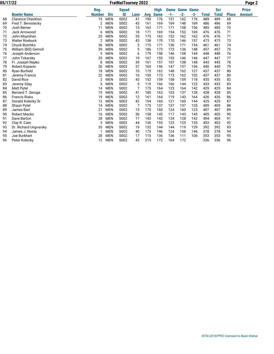| 05/17/22 |                          |               |            | <b>FratNatTourney 2022</b> |      |     |             |       |             |             |              |              |              | Page 2        |
|----------|--------------------------|---------------|------------|----------------------------|------|-----|-------------|-------|-------------|-------------|--------------|--------------|--------------|---------------|
|          |                          | Reg.          |            | <b>Squad</b>               |      |     | <b>High</b> | Game  | <b>Game</b> | <b>Game</b> |              | <b>Scr</b>   |              | <b>Prize</b>  |
|          | <b>Bowler Name</b>       | <b>Number</b> | <b>Div</b> | ID                         | Lane | Avg | Game        | $-1-$ | $-2-$       | $-3-$       | <b>Total</b> | <b>Total</b> | <b>Place</b> | <b>Amount</b> |
| 68       | <b>Clarence Checkton</b> | 15            | <b>MEN</b> | S002                       | 41   | 190 | 176         | 151   | 162         | 176         | 489          | 489          | 68           |               |
| 69       | Fred T. Berestecky       | 2             | <b>MEN</b> | S002                       | 43   | 161 | 169         | 169   | 148         | 169         | 486          | 486          | 69           |               |
| 70       | Josh Berner              | 11            | <b>MEN</b> | S002                       | 15   | 163 | 171         | 171   | 158         | 156         | 485          | 485          | 70           |               |
| 71       | Jack Arrowood            | 6             | <b>MEN</b> | S002                       | 18   | 171 | 169         | 154   | 153         | 169         | 476          | 476          | 71           |               |
| 72       | John Moynihan            | 25            | <b>MEN</b> | S002                       | 35   | 175 | 162         | 152   | 162         | 162         | 476          | 476          | 71           |               |
| 73       | <b>Walter Roebuck</b>    | 2             | <b>MEN</b> | S002                       | 43   | 158 | 170         | 170   | 146         | 157         | 473          | 473          | 73           |               |
| 74       | Chuck Butchko            | 36            | <b>MEN</b> | S002                       | 5    | 175 | 171         | 136   | 171         | 154         | 461          | 461          | 74           |               |
| 75       | William (Bill) Gemoll    | 39            | <b>MEN</b> | S002                       | 5    | 186 | 173         | 173   | 136         | 148         | 457          | 457          | 75           |               |
| 76       | Joseph Anderson          | 5             | <b>MEN</b> | S002                       | 6    | 179 | 158         | 146   | 158         | 144         | 448          | 448          | 76           |               |
| 77       | John Tokarsky            | 35            | <b>MEN</b> | S002                       | 19   | 167 | 155         | 155   | 146         | 146         | 447          | 447          | 77           |               |
| 78       | Fr. Joseph Repko         | 8             | <b>MEN</b> | S002                       | 39   | 161 | 157         | 157   | 138         | 148         | 443          | 443          | 78           |               |
| 79       | Robert Kopanic           | 26            | <b>MEN</b> | S002                       | 37   | 160 | 156         | 147   | 137         | 156         | 440          | 440          | 79           |               |
| 80       | Ryan Burfield            | 18            | <b>MEN</b> | S002                       | 10   | 175 | 162         | 148   | 162         | 127         | 437          | 437          | 80           |               |
| 81       | Jeremy Francis           | 22            | <b>MEN</b> | S002                       | 16   | 150 | 173         | 173   | 162         | 102         | 437          | 437          | 80           |               |
| 82       | David Rice               | 2             | <b>MEN</b> | S002                       | 43   | 152 | 159         | 158   | 159         | 118         | 435          | 435          | 82           |               |
| 83       | Jeremy Silay             | 5             | <b>MEN</b> | S002                       | 5    | 119 | 166         | 166   | 144         | 123         | 433          | 433          | 83           |               |
| 84       | Matt Pytel               | 14            | <b>MEN</b> | S002                       |      | 175 | 164         | 123   | 164         | 142         | 429          | 429          | 84           |               |
| 85       | Bernard T. Seruga        | 15            | <b>MEN</b> | S002                       | 41   | 180 | 163         | 163   | 137         | 128         | 428          | 428          | 85           |               |
| 86       | <b>Francis Risko</b>     | 19            | <b>MEN</b> | S002                       | 12   | 161 | 164         | 119   | 143         | 164         | 426          | 426          | 86           |               |
| 87       | Donald Kolecky Sr        | 12            | <b>MEN</b> | S002                       | 42   | 154 | 160         | 121   | 160         | 144         | 425          | 425          | 87           |               |
| 88       | Shaun Pytel              | 14            | <b>MEN</b> | S002                       | 7    | 175 | 137         | 137   | 137         | 135         | 409          | 409          | 88           |               |
| 89       | James Bart               | 21            | <b>MEN</b> | S002                       | 13   | 170 | 160         | 124   | 160         | 123         | 407          | 407          | 89           |               |
| 90       | <b>Robert Macko</b>      | 16            | <b>MEN</b> | S002                       | 36   | 158 | 145         | 117   | 143         | 145         | 405          | 405          | 90           |               |
| 91       | Dave Barton              | 28            | <b>MEN</b> | S002                       | 17   | 143 | 142         | 134   | 128         | 142         | 404          | 404          | 91           |               |
| 92       | Clay R. Cato             | 3             | <b>MEN</b> | S002                       | 44   | 136 | 155         | 123   | 125         | 155         | 403          | 403          | 92           |               |
| 93       | Dr. Richard Ungvarsky    | 35            | <b>MEN</b> | S002                       | 19   | 132 | 144         | 144   | 119         | 129         | 392          | 392          | 93           |               |
| 94       | James J. Nasta           |               | <b>MEN</b> | S002                       | 40   | 175 | 146         | 124   | 108         | 146         | 378          | 378          | 94           |               |
| 95       | Joe Burkhart             | 28            | <b>MEN</b> | S002                       | 17   | 115 | 136         | 136   | 111         | 106         | 353          | 353          | 95           |               |
| 96       | Peter Kolecky            | 12            | <b>MEN</b> | S002                       | 42   | 215 | 172         | 164   | 172         |             | 336          | 336          | 96           |               |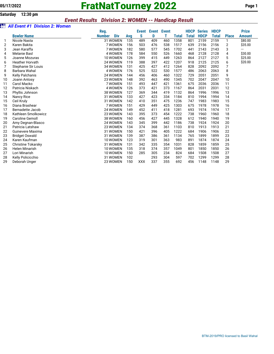# **05/17/2022 FratNatTourney 2022 Page 1**

#### *Event Results Division 2: WOMEN -- Handicap Result*

#### z *All Event #1 Division 2: Women*

|    |                           | Reg.                        |     | <b>Event</b> | <b>Event</b> Event |     |       | <b>HDCP</b> | <b>Series</b> | <b>HDCP</b> |              | <b>Prize</b> |
|----|---------------------------|-----------------------------|-----|--------------|--------------------|-----|-------|-------------|---------------|-------------|--------------|--------------|
|    | <b>Bowler Name</b>        | <b>Div</b><br><b>Number</b> | Avg | S            | D                  |     | Total | Total       | <b>HDCP</b>   | Total       | <b>Place</b> | Amount       |
|    | Nicole Nasta              | 31 WOMEN                    | 135 | 489          | 409                | 460 | 1358  | 801         | 2159          | 2159        | 1            | \$80.00      |
| 2  | Karen Bakita              | 7 WOMEN                     | 156 | 503          | 476                | 538 | 1517  | 639         | 2156          | 2156        | 2            | \$35.00      |
| 3  | Jean Karaffa              | 7 WOMEN                     | 182 | 580          | 577                | 545 | 1702  | 441         | 2143          | 2143        | 3            | ---          |
| 4  | <b>Melanie Basl</b>       | <b>4 WOMEN</b>              | 178 | 584          | 550                | 526 | 1660  | 468         | 2128          | 2128        | 4            | \$30.00      |
| 5  | Joanne Mozuras            | 10 WOMEN                    | 126 | 399          | 415                | 449 | 1263  | 864         | 2127          | 2127        | 5            | \$25.00      |
| 6  | <b>Heather Horvath</b>    | 24 WOMEN                    | 119 | 388          | 397                | 422 | 1207  | 918         | 2125          | 2125        | 6            | \$20.00      |
|    | Stephanie Sir Louis       | 34 WOMEN                    | 131 | 425          | 427                | 412 | 1264  | 828         | 2092          | 2092        | 7            |              |
| 8  | Barbara Wahal             | <b>4 WOMEN</b>              | 176 | 525          | 522                | 530 | 1577  | 486         | 2063          | 2063        | 8            |              |
| 9  | <b>Kelly Palchanis</b>    | 24 WOMEN                    | 144 | 456          | 406                | 460 | 1322  | 729         | 2051          | 2051        | 9            |              |
| 10 | Joann Antosy              | 23 WOMEN                    | 148 | 392          | 463                | 490 | 1345  | 702         | 2047          | 2047        | 10           |              |
| 11 | Carol Macko               | 7 WOMEN                     | 151 | 493          | 447                | 421 | 1361  | 675         | 2036          | 2036        | 11           |              |
| 12 | Patricia Niskach          | 4 WOMEN                     | 126 | 373          | 421                | 373 | 1167  | 864         | 2031          | 2031        | 12           |              |
| 13 | Phyllis Johnson           | 38 WOMEN                    | 127 | 369          | 344                | 419 | 1132  | 864         | 1996          | 1996        | 13           |              |
| 14 | Nancy Rice                | 31 WOMEN                    | 133 | 427          | 423                | 334 | 1184  | 810         | 1994          | 1994        | 14           |              |
| 15 | Ceil Kruly                | 31 WOMEN                    | 142 | 410          | 351                | 475 | 1236  | 747         | 1983          | 1983        | 15           |              |
| 16 | Diana Brashear            | 7 WOMEN                     | 151 | 429          | 449                | 425 | 1303  | 675         | 1978          | 1978        | 16           |              |
| 17 | <b>Bernadette Jacob</b>   | 24 WOMEN                    | 149 | 452          | 411                | 418 | 1281  | 693         | 1974          | 1974        | 17           |              |
| 18 | Kathleen Smolkowicz       | 23 WOMEN                    | 143 | 395          | 373                | 454 | 1222  | 738         | 1960          | 1960        | 18           |              |
| 19 | <b>Caroline Gemoll</b>    | 38 WOMEN                    | 160 | 456          | 427                | 445 | 1328  | 612         | 1940          | 1940        | 19           |              |
| 20 | Amy Degnan-Blasco         | 24 WOMEN                    | 143 | 345          | 399                | 442 | 1186  | 738         | 1924          | 1924        | 20           |              |
| 21 | Patricia Latshaw          | 23 WOMEN                    | 134 | 374          | 368                | 361 | 1103  | 810         | 1913          | 1913        | 21           |              |
| 22 | Guinevere Maxima          | 31 WOMEN                    | 150 | 421          | 396                | 405 | 1222  | 684         | 1906          | 1906        | 22           |              |
| 23 | <b>Bridget Oswald</b>     | 31 WOMEN                    | 139 | 387          | 386                | 361 | 1134  | 765         | 1899          | 1899        | 23           |              |
| 24 | Karen Kaufman             | 10 WOMEN                    | 123 | 319          | 301                | 363 | 983   | 891         | 1874          | 1874        | 24           |              |
| 25 | <b>Christine Tokarsky</b> | 31 WOMEN                    | 131 | 342          | 335                | 354 | 1031  | 828         | 1859          | 1859        | 25           |              |
| 26 | <b>Helen Minarish</b>     | 10 WOMEN                    | 135 | 318          | 374                | 357 | 1049  | 801         | 1850          | 1850        | 26           |              |
| 27 | Lori Minarish             | 10 WOMEN                    | 150 | 285          | 305                | 234 | 824   | 684         | 1508          | 1508        | 27           |              |
| 28 | Kelly Policicchio         | 31 WOMEN                    | 102 |              | 293                | 304 | 597   | 702         | 1299          | 1299        | 28           |              |
| 29 | Deborah Unger             | 23 WOMEN                    | 150 | <b>XXX</b>   | 337                | 355 | 692   | 456         | 1148          | 1148        | 29           |              |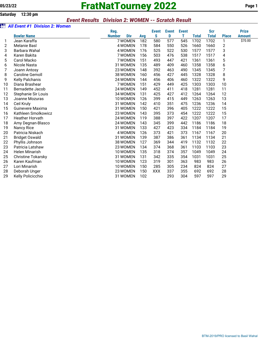# **05/23/22 FratNatTourney 2022 Page 1**

### *Event Results Division 2: WOMEN -- Scratch Result*

#### z *All Event #1 Division 2: Women*

|    |                           | Reg.          |            |     | <b>Event</b> | <b>Event</b> | <b>Event</b> |              | <b>Scr</b>   |              | <b>Prize</b>  |
|----|---------------------------|---------------|------------|-----|--------------|--------------|--------------|--------------|--------------|--------------|---------------|
|    | <b>Bowler Name</b>        | <b>Number</b> | <b>Div</b> | Avg | S            | D            | т            | <b>Total</b> | <b>Total</b> | <b>Place</b> | <b>Amount</b> |
| 1  | Jean Karaffa              | 7 WOMEN       |            | 182 | 580          | 577          | 545          | 1702         | 1702         | 1            | \$70.00       |
| 2  | <b>Melanie Basl</b>       | 4 WOMEN       |            | 178 | 584          | 550          | 526          | 1660         | 1660         | 2            |               |
| 3  | Barbara Wahal             | 4 WOMEN       |            | 176 | 525          | 522          | 530          | 1577         | 1577         | 3            |               |
| 4  | Karen Bakita              | 7 WOMEN       |            | 156 | 503          | 476          | 538          | 1517         | 1517         | 4            |               |
| 5  | Carol Macko               | 7 WOMEN       |            | 151 | 493          | 447          | 421          | 1361         | 1361         | 5            |               |
| 6  | Nicole Nasta              | 31 WOMEN      |            | 135 | 489          | 409          | 460          | 1358         | 1358         | 6            |               |
| 7  | Joann Antosy              | 23 WOMEN      |            | 148 | 392          | 463          | 490          | 1345         | 1345         | 7            |               |
| 8  | <b>Caroline Gemoll</b>    | 38 WOMEN      |            | 160 | 456          | 427          | 445          | 1328         | 1328         | 8            |               |
| 9  | <b>Kelly Palchanis</b>    | 24 WOMEN      |            | 144 | 456          | 406          | 460          | 1322         | 1322         | 9            |               |
| 10 | Diana Brashear            | 7 WOMEN       |            | 151 | 429          | 449          | 425          | 1303         | 1303         | 10           |               |
| 11 | <b>Bernadette Jacob</b>   | 24 WOMEN      |            | 149 | 452          | 411          | 418          | 1281         | 1281         | 11           |               |
| 12 | Stephanie Sir Louis       | 34 WOMEN      |            | 131 | 425          | 427          | 412          | 1264         | 1264         | 12           |               |
| 13 | Joanne Mozuras            | 10 WOMEN      |            | 126 | 399          | 415          | 449          | 1263         | 1263         | 13           |               |
| 14 | Ceil Kruly                | 31 WOMEN      |            | 142 | 410          | 351          | 475          | 1236         | 1236         | 14           |               |
| 15 | Guinevere Maxima          | 31 WOMEN      |            | 150 | 421          | 396          | 405          | 1222         | 1222         | 15           |               |
| 16 | Kathleen Smolkowicz       | 23 WOMEN      |            | 143 | 395          | 373          | 454          | 1222         | 1222         | 15           |               |
| 17 | <b>Heather Horvath</b>    | 24 WOMEN      |            | 119 | 388          | 397          | 422          | 1207         | 1207         | 17           |               |
| 18 | Amy Degnan-Blasco         | 24 WOMEN      |            | 143 | 345          | 399          | 442          | 1186         | 1186         | 18           |               |
| 19 | <b>Nancy Rice</b>         | 31 WOMEN      |            | 133 | 427          | 423          | 334          | 1184         | 1184         | 19           |               |
| 20 | Patricia Niskach          | 4 WOMEN       |            | 126 | 373          | 421          | 373          | 1167         | 1167         | 20           |               |
| 21 | <b>Bridget Oswald</b>     | 31 WOMEN      |            | 139 | 387          | 386          | 361          | 1134         | 1134         | 21           |               |
| 22 | Phyllis Johnson           | 38 WOMEN      |            | 127 | 369          | 344          | 419          | 1132         | 1132         | 22           |               |
| 23 | Patricia Latshaw          | 23 WOMEN      |            | 134 | 374          | 368          | 361          | 1103         | 1103         | 23           |               |
| 24 | <b>Helen Minarish</b>     | 10 WOMEN      |            | 135 | 318          | 374          | 357          | 1049         | 1049         | 24           |               |
| 25 | <b>Christine Tokarsky</b> | 31 WOMEN      |            | 131 | 342          | 335          | 354          | 1031         | 1031         | 25           |               |
| 26 | Karen Kaufman             | 10 WOMEN      |            | 123 | 319          | 301          | 363          | 983          | 983          | 26           |               |
| 27 | Lori Minarish             | 10 WOMEN      |            | 150 | 285          | 305          | 234          | 824          | 824          | 27           |               |
| 28 | Deborah Unger             | 23 WOMEN      |            | 150 | <b>XXX</b>   | 337          | 355          | 692          | 692          | 28           |               |
| 29 | Kelly Policicchio         | 31 WOMEN      |            | 102 |              | 293          | 304          | 597          | 597          | 29           |               |
|    |                           |               |            |     |              |              |              |              |              |              |               |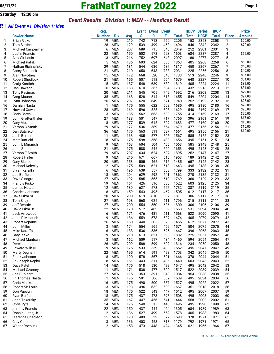z *All Event #1 Division 1: Men*

## **05/17/22 FratNatTourney 2022 Page 1**

#### *Event Results Division 1: MEN -- Handicap Result*

#### **Reg. Event Event Event HDCP Series HDCP Prize Bowler Name Number Div Avg S D T Total Total HDCP Total Place Amount** 1 Brian Risko 19 MEN 219 742 713 750 2205 153 2358 2358 1 2 Tom Skrtich 28 MEN 129 539 499 458 1496 846 2342 2342 2 3 Michael Cimperman 6 MEN 207 689 715 645 2049 252 2301 2301 3 4 Justin Francis 22 MEN 150 502 578 523 1603 684 2287 2287 4 5 Alex Sir Louis 13 MEN 216 752 697 648 2097 180 2277 2277 5 6 Michael Patak 5 MEN 186 603 624 636 1863 405 2268 2268 6 7 Nathan Richnafsky 29 MEN 181 544 636 637 1817 450 2267 2267 7 8 Corey Shedlock 21 MEN 210 650 643 738 2031 225 2256 2256 8 9 Alan Novotney 15 MEN 172 668 520 545 1733 513 2246 2246 9 10 Robert Shedlock 21 MEN 155 507 518 554 1579 648 2227 2227 10 11 Craig Kordich 15 MEN 187 548 639 632 1819 405 2224 2224 11 12 Dan Dawson 16 MEN 183 610 567 604 1781 432 2213 2213 12 13 Tony Rasimas 20 MEN 211 545 705 742 1992 216 2208 2208 13 14 Greg Maurer 35 MEN 168 528 514 613 1655 549 2204 2204 14 15 Lynn Johnston 26 MEN 207 620 649 671 1940 252 2192 2192 15 16 Damian Nasta 1 MEN 175 555 622 508 1685 495 2180 2180 16 17 Howard Oswald 28 MEN 169 596 525 508 1629 540 2169 2169 17 18 Chris Barca 3 MEN 185 562 663 530 1755 414 2169 2169 17 19 John Grottenthaler 27 MEN 188 501 547 717 1765 396 2161 2161 19 20 Gary Mozuras 8 MEN 177 539 615 529 1683 477 2160 2160 20 21 Vernon C Smith 29 MEN 177 536 589 554 1679 477 2156 2156 21 22 Dan Butchko 36 MEN 175 563 511 587 1661 495 2156 2156 21 23 Josh Berner 11 MEN 163 485 577 505 1567 585 2152 2152 23 24 Matt Burfield 18 MEN 175 598 568 490 1656 495 2151 2151 24 25 John L Minarish 9 MEN 163 604 504 455 1563 585 2148 2148 25 26 John Smith 21 MEN 175 588 545 520 1653 495 2148 2148 25 27 Vernon E Smith 29 MEN 207 634 624 637 1895 252 2147 2147 27 28 Robert Haller 9 MEN 215 671 667 615 1953 189 2142 2142 28 29 Gary Blasco 20 MEN 153 505 465 515 1485 657 2142 2142 28 30 Michael Kolecky 12 MEN 175 509 621 513 1643 495 2138 2138 30 31 Bryan Karaffa 6 MEN 196 639 557 603 1799 333 2132 2132 31 32 Joe Burfield 18 MEN 204 629 592 641 1862 270 2132 2132 31 33 Dave Sinagra 27 MEN 192 585 565 619 1769 360 2129 2129 33 34 Francis Risko 19 MEN 161 426 516 580 1522 603 2125 2125 34 35 James Hutzel 12 MEN 189 627 578 527 1732 387 2119 2119 35 36 Charles Johnson 8 MEN 159 543 495 467 1505 612 2117 2117 36 37 Dave Iskra Sr 20 MEN 200 619 610 582 1811 306 2117 2117 36 38 Tom Silay 27 MEN 198 560 625 611 1796 315 2111 2111 38 39 Jeff Beattie 27 MEN 200 554 560 686 1800 306 2106 2106 39 40 David Iskra Jr 22 MEN 170 512 482 569 1563 531 2094 2094 40 41 Jack Arrowood 6 MEN 171 476 481 611 1568 522 2090 2090 41 42 John P Minarish 9 MEN 186 559 578 537 1674 405 2079 2079 42 43 Robert Kopanic 26 MEN 160 440 505 520 1465 612 2077 2077 43 44 John Miller 3 MEN 174 554 565 452 1571 504 2075 2075 44 45 Mike Karaffa 6 MEN 188 536 536 595 1667 396 2063 2063 45 46 Gary Risko 19 MEN 210 613 621 598 1832 225 2057 2057 46 47 Michael Mantsch 3 MEN 162 509 517 434 1460 594 2054 2054 47 48 Derek Johnston 26 MEN 209 588 599 629 1816 234 2050 2050 48 49 Edward Wilk III 19 MEN 175 533 539 480 1552 495 2047 2047 49 50 Marty Degnan 22 MEN 195 614 591 498 1703 342 2045 2045 50 51 Frank Johnson 8 MEN 190 578 567 521 1666 378 2044 2044 51 52 Fr. Joseph Repko 8 MEN 161 443 511 486 1440 603 2043 2043 52 53 Dave Pytel 14 MEN 175 518 530 499 1547 495 2042 2042 53 54 Michael Czarney 11 MEN 171 538 477 502 1517 522 2039 2039 54 55 Joe Burkhart 27 MEN 115 353 391 340 1084 954 2038 2038 55 56 Fr. Thomas Nasta 1 MEN 175 501 506 532 1539 495 2034 2034 56 57 Chris Macko 16 MEN 175 490 500 537 1527 495 2022 2022 57 58 Robert Sir Louis 13 MEN 193 496 632 539 1667 351 2018 2018 58 59 Don Papcun 18 MEN 175 522 543 447 1512 495 2007 2007 59 60 Ryan Burfield 18 MEN 175 437 473 598 1508 495 2003 2003 60 61 John Tokarsky 35 MEN 167 447 456 541 1444 558 2002 2002 61 62 Chris Pytel 14 MEN 175 540 515 440 1495 495 1990 1990 62 63 Jeremy Francis 22 MEN 150 437 444 424 1305 684 1989 1989 63 64 Donald Lutes, Jr. 2 MEN 186 527 499 552 1578 405 1983 1983 64 65 Clarence Checkton 15 MEN 190 489 532 572 1593 378 1971 1971 65 66 Clay Cato 3 MEN 136 403 458 318 1179 792 1971 1971 65 67 Walter Roebuck 2 MEN 158 473 448 424 1345 621 1966 1966 67 \$90.00 \$70.00 --- \$55.00 --- \$50.00 \$45.00 \$40.00 \$37.00 \$34.00 \$31.00 \$31.00 \$29.00 \$27.00 \$25.00 \$23.00 \$20.00 \$20.00 \$17.00 \$15.00 \$10.00 \$10.00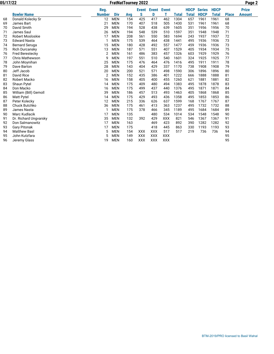|    |                         | Reg.          |            |     | <b>Event</b> | <b>Event</b> Event |            |              | <b>HDCP</b> | <b>Series</b> | <b>HDCP</b>  |              | <b>Prize</b>  |
|----|-------------------------|---------------|------------|-----|--------------|--------------------|------------|--------------|-------------|---------------|--------------|--------------|---------------|
|    | <b>Bowler Name</b>      | <b>Number</b> | <b>Div</b> | Avg | S            | D                  |            | <b>Total</b> | Total       | <b>HDCP</b>   | <b>Total</b> | <b>Place</b> | <b>Amount</b> |
| 68 | Donald Kolecky Sr       | 12            | <b>MEN</b> | 154 | 425          | 417                | 462        | 1304         | 657         | 1961          | 1961         | 68           |               |
| 69 | James Bart              | 21            | <b>MEN</b> | 170 | 407          | 518                | 505        | 1430         | 531         | 1961          | 1961         | 68           |               |
| 70 | David Smith             | 29            | <b>MEN</b> | 194 | 528          | 438                | 639        | 1605         | 351         | 1956          | 1956         | 70           |               |
| 71 | James Saul              | 26            | <b>MEN</b> | 194 | 548          | 539                | 510        | 1597         | 351         | 1948          | 1948         | 71           |               |
| 72 | <b>Robert Mosloskie</b> | 17            | <b>MEN</b> | 208 | 561          | 550                | 583        | 1694         | 243         | 1937          | 1937         | 72           |               |
| 73 | <b>Edward Nasta</b>     |               | <b>MEN</b> | 175 | 539          | 464                | 438        | 1441         | 495         | 1936          | 1936         | 73           |               |
| 74 | <b>Bernard Seruga</b>   | 15            | <b>MEN</b> | 180 | 428          | 492                | 557        | 1477         | 459         | 1936          | 1936         | 73           |               |
| 75 | Rich Durcansky          | 13            | <b>MEN</b> | 187 | 571          | 551                | 407        | 1529         | 405         | 1934          | 1934         | 75           |               |
| 76 | Fred Berestecky         | 2             | <b>MEN</b> | 161 | 486          | 383                | 457        | 1326         | 603         | 1929          | 1929         | 76           |               |
| 77 | <b>Chris Mathewson</b>  | 9             | <b>MEN</b> | 197 | 551          | 510                | 540        | 1601         | 324         | 1925          | 1925         | 77           |               |
| 78 | John Moynihan           | 25            | <b>MEN</b> | 175 | 476          | 464                | 476        | 1416         | 495         | 1911          | 1911         | 78           |               |
| 79 | Dave Barton             | 28            | <b>MEN</b> | 143 | 404          | 429                | 337        | 1170         | 738         | 1908          | 1908         | 79           |               |
| 80 | Jeff Jacob              | 20            | <b>MEN</b> | 200 | 521          | 571                | 498        | 1590         | 306         | 1896          | 1896         | 80           |               |
| 81 | <b>David Rice</b>       | 2             | <b>MEN</b> | 152 | 435          | 386                | 401        | 1222         | 666         | 1888          | 1888         | 81           |               |
| 82 | <b>Robert Macko</b>     | 16            | <b>MEN</b> | 158 | 405          | 400                | 455        | 1260         | 621         | 1881          | 1881         | 82           |               |
| 83 | Shaun Pytel             | 14            | <b>MEN</b> | 175 | 409          | 480                | 494        | 1383         | 495         | 1878          | 1878         | 83           |               |
| 84 | Don Macko               | 16            | <b>MEN</b> | 175 | 499          | 437                | 440        | 1376         | 495         | 1871          | 1871         | 84           |               |
| 85 | William (Bill) Gemoll   | 39            | <b>MEN</b> | 186 | 457          | 513                | 493        | 1463         | 405         | 1868          | 1868         | 85           |               |
| 86 | <b>Matt Pytel</b>       | 14            | <b>MEN</b> | 175 | 429          | 493                | 436        | 1358         | 495         | 1853          | 1853         | 86           |               |
| 87 | Peter Kolecky           | 12            | <b>MEN</b> | 215 | 336          | 626                | 637        | 1599         | 168         | 1767          | 1767         | 87           |               |
| 88 | Chuck Butchko           | 36            | <b>MEN</b> | 175 | 461          | 413                | 363        | 1237         | 495         | 1732          | 1732         | 88           |               |
| 89 | James Nasta             |               | <b>MEN</b> | 175 | 378          | 466                | 345        | 1189         | 495         | 1684          | 1684         | 89           |               |
| 90 | <b>Marc Kudlacik</b>    | 17            | <b>MEN</b> | 135 |              | 480                | 534        | 1014         | 534         | 1548          | 1548         | 90           |               |
| 91 | Dr. Richard Ungvarsky   | 35            | <b>MEN</b> | 132 | 392          | 429                | <b>XXX</b> | 821          | 546         | 1367          | 1367         | 91           |               |
| 92 | Don Salmanowitz         | 17            | <b>MEN</b> | 163 |              | 469                | 423        | 892          | 390         | 1282          | 1282         | 92           |               |
| 93 | <b>Gary Pitonak</b>     | 17            | <b>MEN</b> | 175 |              | 418                | 445        | 863          | 330         | 1193          | 1193         | 93           |               |
| 94 | <b>Matthew Basl</b>     | 5             | <b>MEN</b> | 154 | <b>XXX</b>   | <b>XXX</b>         | 517        | 517          | 219         | 736           | 736          | 94           |               |
| 95 | John Kutzfara           | 5             | <b>MEN</b> | 149 | <b>XXX</b>   | <b>XXX</b>         | <b>XXX</b> |              |             |               |              | 95           |               |
| 96 | Jeremy Glass            | 19            | <b>MEN</b> | 160 | <b>XXX</b>   | <b>XXX</b>         | <b>XXX</b> |              |             |               |              | 95           |               |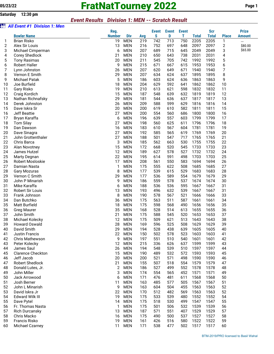# **05/23/22 FratNatTourney 2022 Page 1**

#### *Event Results Division 1: MEN -- Scratch Result*

| òii      | <b>All Event #1 Division 1: Men</b>         |                    |                          |            |              |              |              |              |              |              |               |
|----------|---------------------------------------------|--------------------|--------------------------|------------|--------------|--------------|--------------|--------------|--------------|--------------|---------------|
|          |                                             | Reg.               |                          |            | <b>Event</b> | <b>Event</b> | <b>Event</b> |              | <b>Scr</b>   |              | <b>Prize</b>  |
|          | <b>Bowler Name</b>                          | <b>Number</b>      | <b>Div</b>               | Avg        | S            | D            | т            | <b>Total</b> | <b>Total</b> | <b>Place</b> | <b>Amount</b> |
| 1        | <b>Brian Risko</b>                          | 19                 | <b>MEN</b>               | 219        | 742          | 713          | 750          | 2205         | 2205         | 1            | ---           |
| 2        | Alex Sir Louis                              | 13                 | <b>MEN</b>               | 216        | 752          | 697          | 648          | 2097         | 2097         | 2            | \$80.00       |
| 3        | Michael Cimperman                           | 6                  | <b>MEN</b>               | 207        | 689          | 715          | 645          | 2049         | 2049         | 3            | \$65.00       |
| 4        | <b>Corey Shedlock</b>                       | 21                 | <b>MEN</b>               | 210        | 650          | 643          | 738          | 2031         | 2031         | 4            |               |
| 5        | <b>Tony Rasimas</b>                         | 20                 | <b>MEN</b>               | 211        | 545          | 705          | 742          | 1992         | 1992         | 5            |               |
| 6        | <b>Robert Haller</b>                        | 9                  | <b>MEN</b>               | 215        | 671          | 667          | 615          | 1953         | 1953         | 6            |               |
| 7        | Lynn Johnston                               | 26                 | <b>MEN</b>               | 207        | 620          | 649          | 671          | 1940         | 1940         | 7            |               |
| 8        | Vernon E Smith                              | 29                 | <b>MEN</b>               | 207        | 634          | 624          | 637          | 1895         | 1895         | 8            |               |
| 9        | <b>Michael Patak</b>                        | 5                  | <b>MEN</b>               | 186        | 603          | 624          | 636          | 1863         | 1863         | 9            |               |
| 10       | Joe Burfield                                | 18                 | <b>MEN</b>               | 204        | 629          | 592          | 641          | 1862         | 1862         | 10           |               |
| 11       | Gary Risko                                  | 19                 | <b>MEN</b>               | 210        | 613          | 621          | 598          | 1832         | 1832         | 11           |               |
| 12       | Craig Kordich                               | 15                 | <b>MEN</b>               | 187        | 548          | 639          | 632          | 1819         | 1819         | 12           |               |
| 13       | Nathan Richnafsky                           | 29                 | <b>MEN</b>               | 181        | 544          | 636          | 637          | 1817         | 1817         | 13           |               |
| 14       | Derek Johnston                              | 26                 | <b>MEN</b>               | 209        | 588          | 599          | 629          | 1816         | 1816         | 14           |               |
| 15       | Dave Iskra Sr                               | 20                 | <b>MEN</b>               | 200        | 619          | 610          | 582          | 1811         | 1811         | 15           |               |
| 16       | <b>Jeff Beattie</b>                         | 27                 | <b>MEN</b>               | 200        | 554          | 560          | 686          | 1800         | 1800         | 16           |               |
| 17       | Bryan Karaffa                               | 6                  | <b>MEN</b>               | 196        | 639          | 557          | 603          | 1799         | 1799         | 17           |               |
| 18       | <b>Tom Silay</b>                            | 27                 | <b>MEN</b>               | 198        | 560          | 625          | 611          | 1796         | 1796         | 18           |               |
| 19       | Dan Dawson                                  | 16                 | <b>MEN</b>               | 183        | 610          | 567          | 604          | 1781         | 1781         | 19           |               |
| 20       | Dave Sinagra                                | 27                 | <b>MEN</b>               | 192        | 585          | 565          | 619          | 1769         | 1769         | 20           |               |
| 21       | John Grottenthaler                          | 27                 | <b>MEN</b>               | 188        | 501          | 547          | 717          | 1765         | 1765         | 21           |               |
| 22       | Chris Barca                                 | 3                  | <b>MEN</b>               | 185        | 562          | 663          | 530          | 1755         | 1755         | 22           |               |
| 23       | Alan Novotney                               | 15                 | <b>MEN</b>               | 172        | 668          | 520          | 545          | 1733         | 1733         | 23           |               |
| 24       | James Hutzel                                | 12                 | <b>MEN</b>               | 189        | 627          | 578          | 527          | 1732         | 1732         | 24           |               |
| 25       | <b>Marty Degnan</b>                         | 22                 | <b>MEN</b>               | 195        | 614          | 591          | 498          | 1703         | 1703         | 25           |               |
| 26       | <b>Robert Mosloskie</b>                     | 17                 | <b>MEN</b>               | 208        | 561          | 550          | 583          | 1694         | 1694         | 26           |               |
| 27       | Damian Nasta                                | $\mathbf{1}$       | <b>MEN</b>               | 175        | 555          | 622          | 508          | 1685         | 1685         | 27           |               |
| 28       | <b>Gary Mozuras</b>                         | 8                  | <b>MEN</b>               | 177        | 539          | 615          | 529          | 1683         | 1683         | 28           |               |
| 29       | Vernon C Smith                              | 29                 | <b>MEN</b>               | 177        | 536          | 589          | 554          | 1679         | 1679         | 29           |               |
| 30       | John P Minarish                             | 9                  | <b>MEN</b>               | 186        | 559          | 578          | 537          | 1674         | 1674         | 30           |               |
| 31       | Mike Karaffa                                | 6                  | <b>MEN</b>               | 188        | 536          | 536          | 595          | 1667         | 1667         | 31           |               |
| 32       | Robert Sir Louis                            | 13                 | <b>MEN</b>               | 193        | 496          | 632          | 539          | 1667         | 1667         | 31           |               |
| 33       | Frank Johnson                               | 8                  | <b>MEN</b>               | 190        | 578          | 567          | 521          | 1666         | 1666         | 33           |               |
| 34       | Dan Butchko                                 | 36                 | <b>MEN</b>               | 175        | 563          | 511          | 587          | 1661         | 1661         | 34           |               |
| 35       | <b>Matt Burfield</b>                        | 18                 | <b>MEN</b>               | 175        | 598          | 568          | 490          | 1656         | 1656         | 35           |               |
| 36       | <b>Greg Maurer</b>                          | 35                 | MEN                      | 168        | 528          | 514          | 613          | 1655         | 1655         | 36           |               |
| 37       | John Smith                                  | 21                 | <b>MEN</b>               | 175        | 588          | 545          | 520          | 1653         | 1653         | 37           |               |
| 38       | Michael Kolecky                             | 12 <sup>2</sup>    | <b>MEN</b>               | 175        | 509          | 621          | 513          | 1643         | 1643         | 38           |               |
| 39       | Howard Oswald                               | 28                 | MEN                      | 169        | 596          | 525          | 508          | 1629         | 1629         | 39           |               |
| 40       | David Smith                                 | 29                 | <b>MEN</b>               | 194        | 528          | 438          | 639          | 1605         | 1605         | 40           |               |
| 41       | <b>Justin Francis</b>                       | 22                 | <b>MEN</b>               | 150        | 502          | 578          | 523          | 1603         | 1603         | 41           |               |
| 42       | Chris Mathewson                             | 9                  | <b>MEN</b>               | 197        | 551          | 510          | 540          | 1601         | 1601         | 42           |               |
| 43       | Peter Kolecky                               | 12<br>26           | <b>MEN</b>               | 215        | 336          | 626          | 637          | 1599         | 1599         | 43           |               |
| 44       | James Saul<br>Clarence Checkton             | 15                 | <b>MEN</b>               | 194        | 548          | 539          | 510          | 1597         | 1597         | 44<br>45     |               |
| 45       |                                             |                    | <b>MEN</b>               | 190        | 489          | 532          | 572          | 1593         | 1593         |              |               |
| 46       | Jeff Jacob                                  | 20                 | <b>MEN</b>               | 200        | 521          | 571          | 498          | 1590         | 1590         | 46           |               |
| 47<br>48 | <b>Robert Shedlock</b><br>Donald Lutes, Jr. | 21<br>$\mathbf{2}$ | <b>MEN</b><br><b>MEN</b> | 155<br>186 | 507<br>527   | 518<br>499   | 554<br>552   | 1579<br>1578 | 1579<br>1578 | 47<br>48     |               |
| 49       | John Miller                                 | 3                  | <b>MEN</b>               | 174        | 554          |              | 452          | 1571         | 1571         | 49           |               |
| 50       | Jack Arrowood                               | 6                  | <b>MEN</b>               | 171        | 476          | 565<br>481   | 611          | 1568         | 1568         | 50           |               |
| 51       | Josh Berner                                 | 11                 | <b>MEN</b>               | 163        | 485          | 577          | 505          | 1567         | 1567         | 51           |               |
| 52       | John L Minarish                             | 9                  | <b>MEN</b>               | 163        | 604          | 504          | 455          | 1563         | 1563         | 52           |               |
| 53       | David Iskra Jr                              | 22                 | <b>MEN</b>               | 170        | 512          | 482          | 569          | 1563         | 1563         | 52           |               |
| 54       | Edward Wilk III                             | 19                 | <b>MEN</b>               | 175        | 533          | 539          | 480          | 1552         | 1552         | 54           |               |
| 55       | Dave Pytel                                  | 14                 | <b>MEN</b>               | 175        | 518          | 530          | 499          | 1547         | 1547         | 55           |               |
| 56       | Fr. Thomas Nasta                            | 1                  | <b>MEN</b>               | 175        | 501          | 506          | 532          | 1539         | 1539         | 56           |               |
| 57       | <b>Rich Durcansky</b>                       | 13                 | <b>MEN</b>               | 187        | 571          | 551          | 407          | 1529         | 1529         | 57           |               |
| 58       | Chris Macko                                 | 16                 | <b>MEN</b>               | 175        | 490          | 500          | 537          | 1527         | 1527         | 58           |               |
| 59       | <b>Francis Risko</b>                        | 19                 | <b>MEN</b>               | 161        | 426          | 516          | 580          | 1522         | 1522         | 59           |               |
| 60       | Michael Czarney                             | 11                 | <b>MEN</b>               | 171        | 538          | 477          | 502          | 1517         | 1517         | 60           |               |
|          |                                             |                    |                          |            |              |              |              |              |              |              |               |